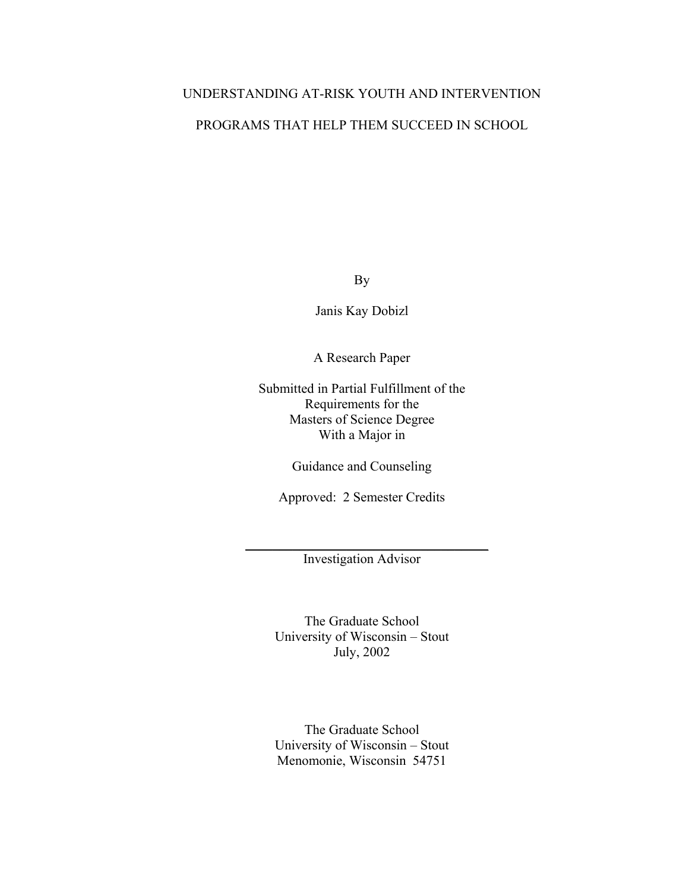# UNDERSTANDING AT-RISK YOUTH AND INTERVENTION

# PROGRAMS THAT HELP THEM SUCCEED IN SCHOOL

By

Janis Kay Dobizl

A Research Paper

Submitted in Partial Fulfillment of the Requirements for the Masters of Science Degree With a Major in

Guidance and Counseling

Approved: 2 Semester Credits

 $\overline{\phantom{a}}$  , and the set of the set of the set of the set of the set of the set of the set of the set of the set of the set of the set of the set of the set of the set of the set of the set of the set of the set of the s Investigation Advisor

> The Graduate School University of Wisconsin – Stout July, 2002

> The Graduate School University of Wisconsin – Stout Menomonie, Wisconsin 54751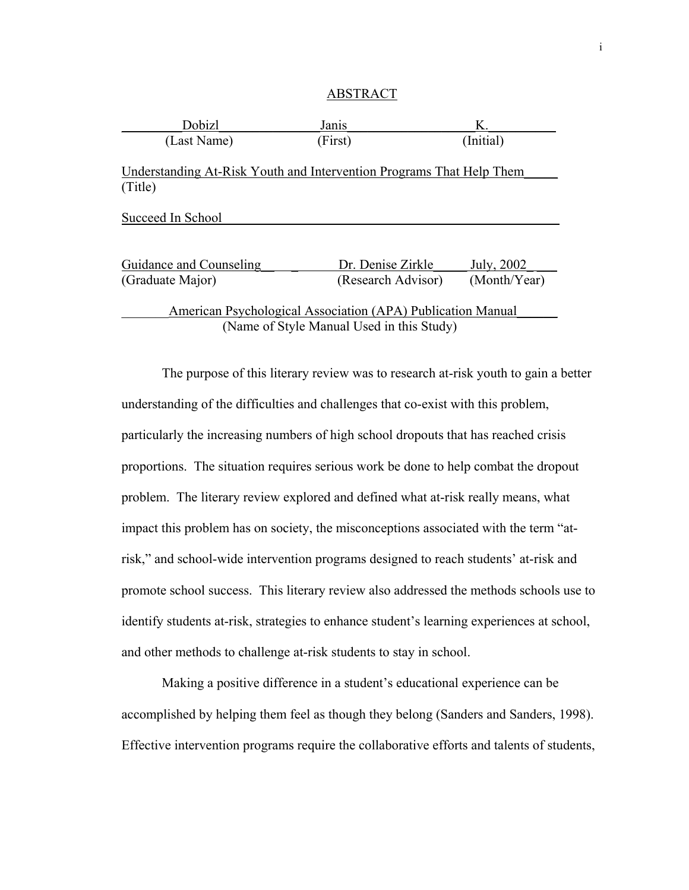### ABSTRACT

| Dobizl                                                               | Janis                                     | Κ.           |
|----------------------------------------------------------------------|-------------------------------------------|--------------|
| (Last Name)                                                          | (First)                                   | (Initial)    |
| Understanding At-Risk Youth and Intervention Programs That Help Them |                                           |              |
| (Title)                                                              |                                           |              |
| Succeed In School                                                    |                                           |              |
|                                                                      |                                           |              |
| Guidance and Counseling                                              | Dr. Denise Zirkle                         | July, 2002   |
| (Graduate Major)                                                     | (Research Advisor)                        | (Month/Year) |
| American Psychological Association (APA) Publication Manual          |                                           |              |
|                                                                      | (Name of Style Manual Used in this Study) |              |

 The purpose of this literary review was to research at-risk youth to gain a better understanding of the difficulties and challenges that co-exist with this problem, particularly the increasing numbers of high school dropouts that has reached crisis proportions. The situation requires serious work be done to help combat the dropout problem. The literary review explored and defined what at-risk really means, what impact this problem has on society, the misconceptions associated with the term "atrisk," and school-wide intervention programs designed to reach students' at-risk and promote school success. This literary review also addressed the methods schools use to identify students at-risk, strategies to enhance student's learning experiences at school, and other methods to challenge at-risk students to stay in school.

 Making a positive difference in a student's educational experience can be accomplished by helping them feel as though they belong (Sanders and Sanders, 1998). Effective intervention programs require the collaborative efforts and talents of students,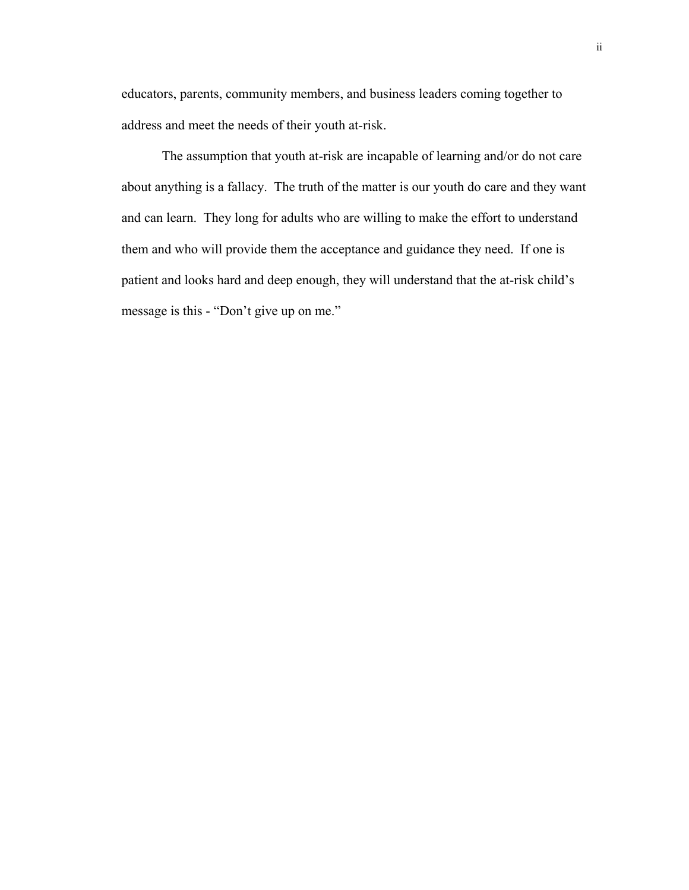educators, parents, community members, and business leaders coming together to address and meet the needs of their youth at-risk.

 The assumption that youth at-risk are incapable of learning and/or do not care about anything is a fallacy. The truth of the matter is our youth do care and they want and can learn. They long for adults who are willing to make the effort to understand them and who will provide them the acceptance and guidance they need. If one is patient and looks hard and deep enough, they will understand that the at-risk child's message is this - "Don't give up on me."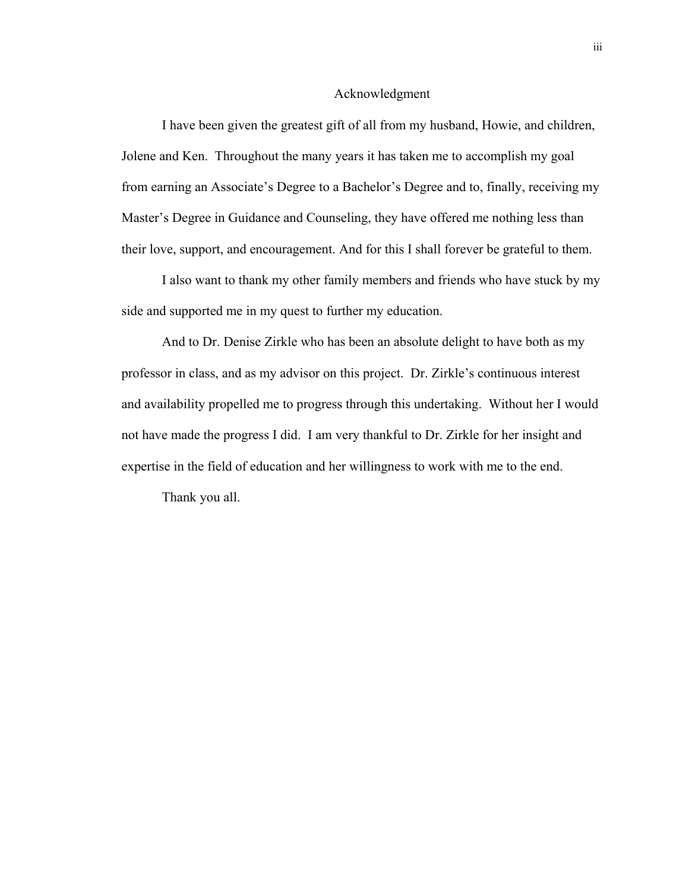### Acknowledgment

I have been given the greatest gift of all from my husband, Howie, and children, Jolene and Ken. Throughout the many years it has taken me to accomplish my goal from earning an Associate's Degree to a Bachelor's Degree and to, finally, receiving my Master's Degree in Guidance and Counseling, they have offered me nothing less than their love, support, and encouragement. And for this I shall forever be grateful to them.

I also want to thank my other family members and friends who have stuck by my side and supported me in my quest to further my education.

And to Dr. Denise Zirkle who has been an absolute delight to have both as my professor in class, and as my advisor on this project. Dr. Zirkle's continuous interest and availability propelled me to progress through this undertaking. Without her I would not have made the progress I did. I am very thankful to Dr. Zirkle for her insight and expertise in the field of education and her willingness to work with me to the end.

Thank you all.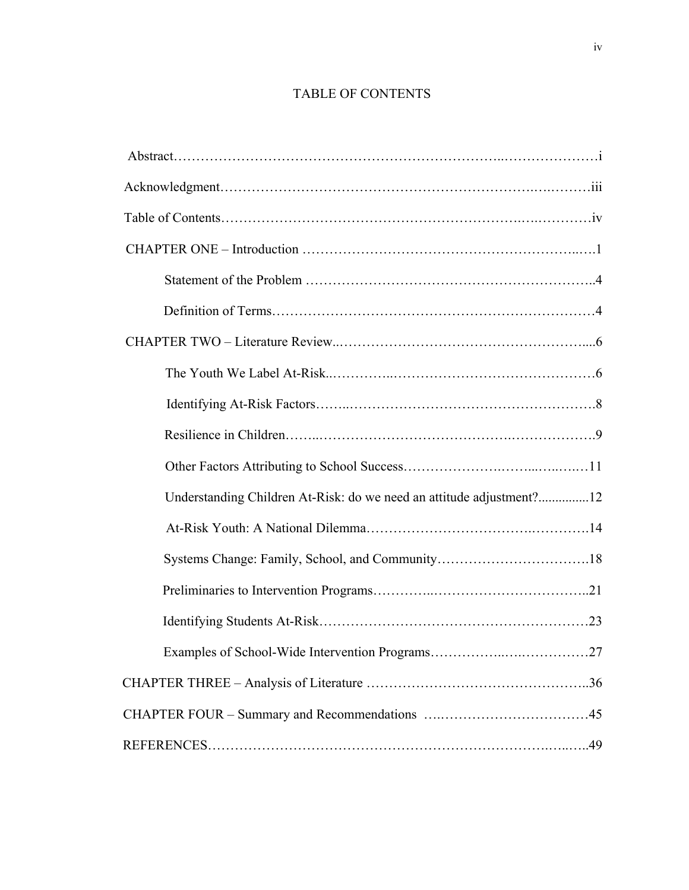# TABLE OF CONTENTS

| Understanding Children At-Risk: do we need an attitude adjustment?12 |
|----------------------------------------------------------------------|
|                                                                      |
|                                                                      |
|                                                                      |
|                                                                      |
|                                                                      |
|                                                                      |
|                                                                      |
|                                                                      |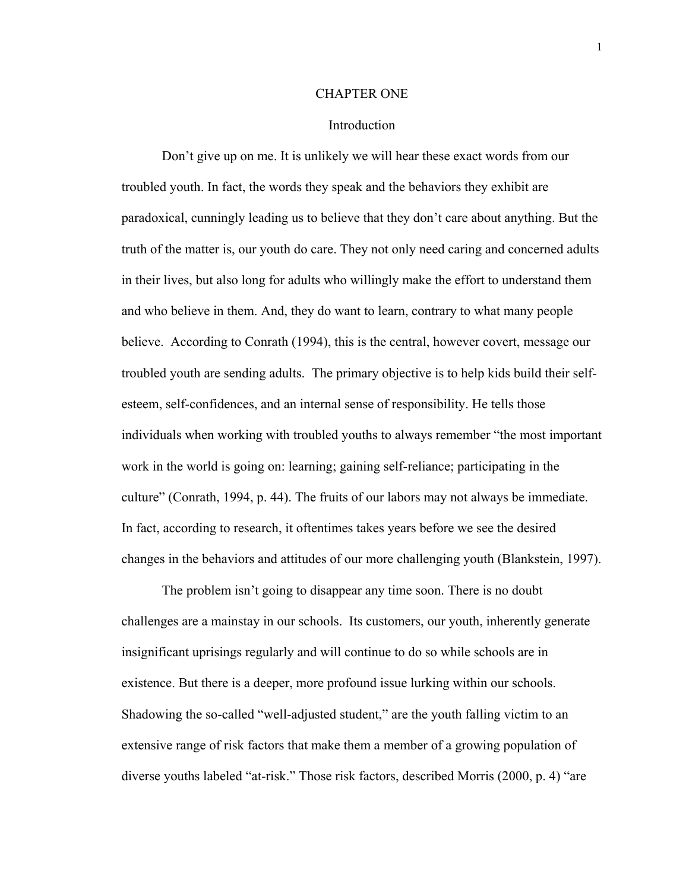### CHAPTER ONE

## Introduction

Don't give up on me. It is unlikely we will hear these exact words from our troubled youth. In fact, the words they speak and the behaviors they exhibit are paradoxical, cunningly leading us to believe that they don't care about anything. But the truth of the matter is, our youth do care. They not only need caring and concerned adults in their lives, but also long for adults who willingly make the effort to understand them and who believe in them. And, they do want to learn, contrary to what many people believe. According to Conrath (1994), this is the central, however covert, message our troubled youth are sending adults. The primary objective is to help kids build their selfesteem, self-confidences, and an internal sense of responsibility. He tells those individuals when working with troubled youths to always remember "the most important work in the world is going on: learning; gaining self-reliance; participating in the culture" (Conrath, 1994, p. 44). The fruits of our labors may not always be immediate. In fact, according to research, it oftentimes takes years before we see the desired changes in the behaviors and attitudes of our more challenging youth (Blankstein, 1997).

The problem isn't going to disappear any time soon. There is no doubt challenges are a mainstay in our schools. Its customers, our youth, inherently generate insignificant uprisings regularly and will continue to do so while schools are in existence. But there is a deeper, more profound issue lurking within our schools. Shadowing the so-called "well-adjusted student," are the youth falling victim to an extensive range of risk factors that make them a member of a growing population of diverse youths labeled "at-risk." Those risk factors, described Morris (2000, p. 4) "are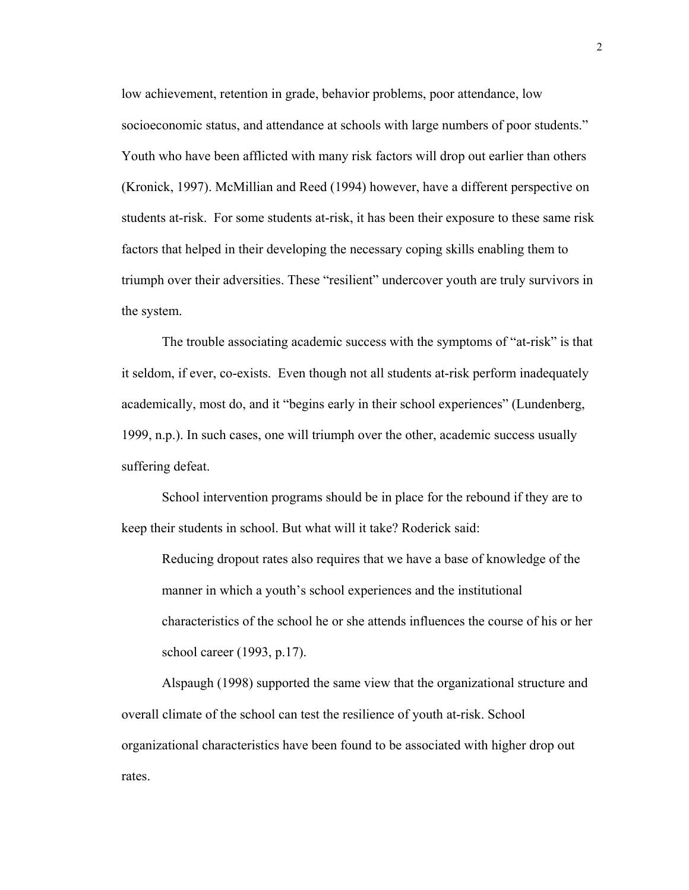low achievement, retention in grade, behavior problems, poor attendance, low socioeconomic status, and attendance at schools with large numbers of poor students." Youth who have been afflicted with many risk factors will drop out earlier than others (Kronick, 1997). McMillian and Reed (1994) however, have a different perspective on students at-risk. For some students at-risk, it has been their exposure to these same risk factors that helped in their developing the necessary coping skills enabling them to triumph over their adversities. These "resilient" undercover youth are truly survivors in the system.

The trouble associating academic success with the symptoms of "at-risk" is that it seldom, if ever, co-exists. Even though not all students at-risk perform inadequately academically, most do, and it "begins early in their school experiences" (Lundenberg, 1999, n.p.). In such cases, one will triumph over the other, academic success usually suffering defeat.

School intervention programs should be in place for the rebound if they are to keep their students in school. But what will it take? Roderick said:

Reducing dropout rates also requires that we have a base of knowledge of the manner in which a youth's school experiences and the institutional characteristics of the school he or she attends influences the course of his or her school career (1993, p.17).

 Alspaugh (1998) supported the same view that the organizational structure and overall climate of the school can test the resilience of youth at-risk. School organizational characteristics have been found to be associated with higher drop out rates.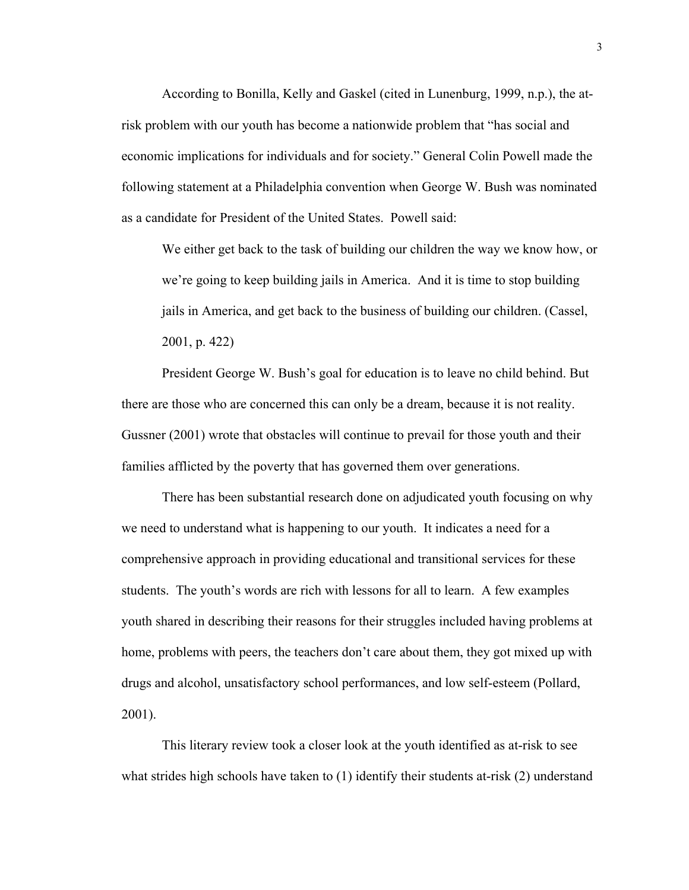According to Bonilla, Kelly and Gaskel (cited in Lunenburg, 1999, n.p.), the atrisk problem with our youth has become a nationwide problem that "has social and economic implications for individuals and for society." General Colin Powell made the following statement at a Philadelphia convention when George W. Bush was nominated as a candidate for President of the United States. Powell said:

We either get back to the task of building our children the way we know how, or we're going to keep building jails in America. And it is time to stop building jails in America, and get back to the business of building our children. (Cassel, 2001, p. 422)

President George W. Bush's goal for education is to leave no child behind. But there are those who are concerned this can only be a dream, because it is not reality. Gussner (2001) wrote that obstacles will continue to prevail for those youth and their families afflicted by the poverty that has governed them over generations.

There has been substantial research done on adjudicated youth focusing on why we need to understand what is happening to our youth. It indicates a need for a comprehensive approach in providing educational and transitional services for these students. The youth's words are rich with lessons for all to learn. A few examples youth shared in describing their reasons for their struggles included having problems at home, problems with peers, the teachers don't care about them, they got mixed up with drugs and alcohol, unsatisfactory school performances, and low self-esteem (Pollard, 2001).

This literary review took a closer look at the youth identified as at-risk to see what strides high schools have taken to (1) identify their students at-risk (2) understand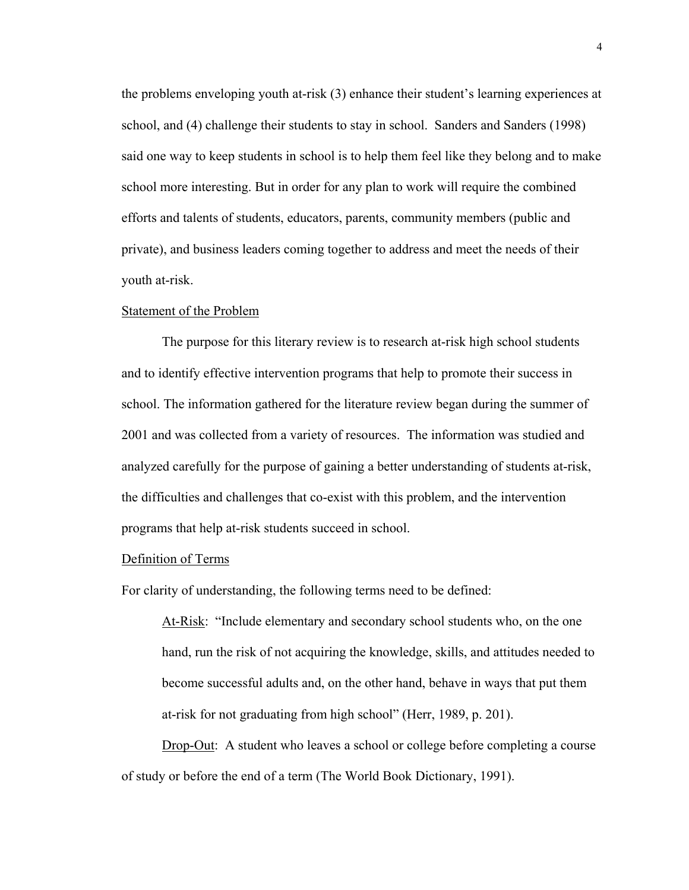the problems enveloping youth at-risk (3) enhance their student's learning experiences at school, and (4) challenge their students to stay in school. Sanders and Sanders (1998) said one way to keep students in school is to help them feel like they belong and to make school more interesting. But in order for any plan to work will require the combined efforts and talents of students, educators, parents, community members (public and private), and business leaders coming together to address and meet the needs of their youth at-risk.

#### Statement of the Problem

 The purpose for this literary review is to research at-risk high school students and to identify effective intervention programs that help to promote their success in school. The information gathered for the literature review began during the summer of 2001 and was collected from a variety of resources. The information was studied and analyzed carefully for the purpose of gaining a better understanding of students at-risk, the difficulties and challenges that co-exist with this problem, and the intervention programs that help at-risk students succeed in school.

# Definition of Terms

For clarity of understanding, the following terms need to be defined:

At-Risk: "Include elementary and secondary school students who, on the one hand, run the risk of not acquiring the knowledge, skills, and attitudes needed to become successful adults and, on the other hand, behave in ways that put them at-risk for not graduating from high school" (Herr, 1989, p. 201).

Drop-Out: A student who leaves a school or college before completing a course of study or before the end of a term (The World Book Dictionary, 1991).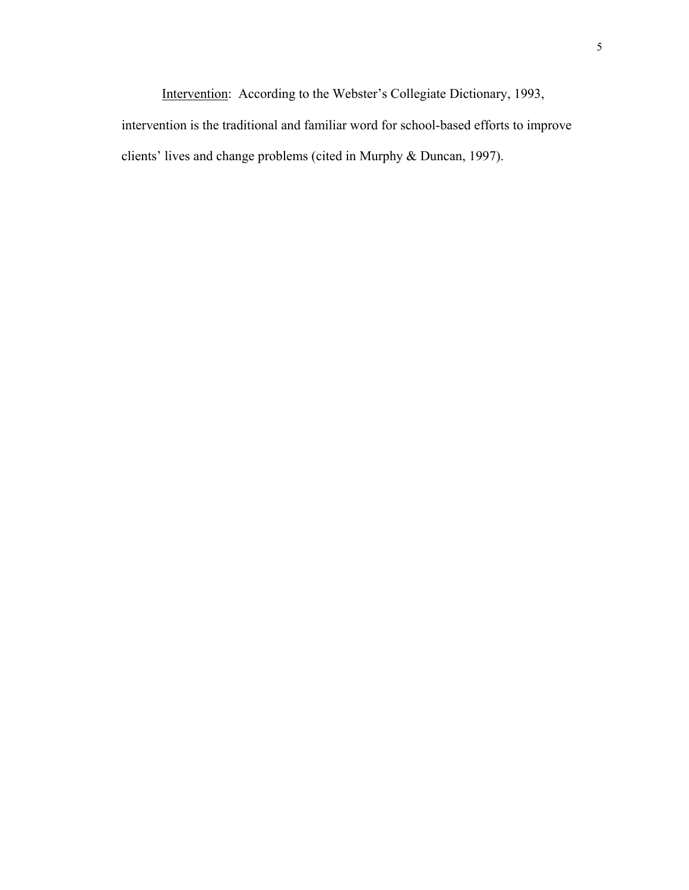Intervention: According to the Webster's Collegiate Dictionary, 1993, intervention is the traditional and familiar word for school-based efforts to improve clients' lives and change problems (cited in Murphy & Duncan, 1997).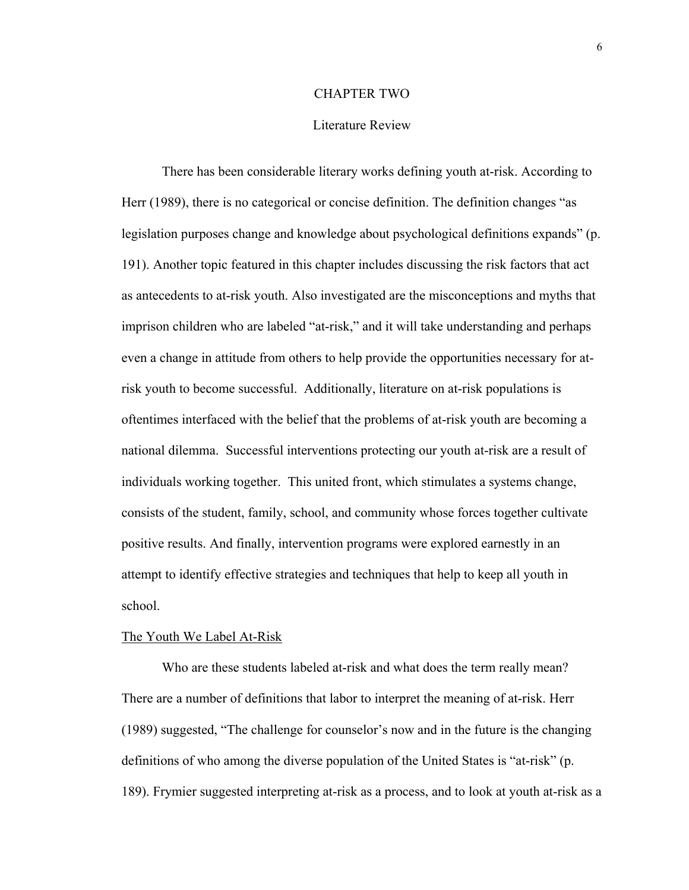## CHAPTER TWO

### Literature Review

 There has been considerable literary works defining youth at-risk. According to Herr (1989), there is no categorical or concise definition. The definition changes "as legislation purposes change and knowledge about psychological definitions expands" (p. 191). Another topic featured in this chapter includes discussing the risk factors that act as antecedents to at-risk youth. Also investigated are the misconceptions and myths that imprison children who are labeled "at-risk," and it will take understanding and perhaps even a change in attitude from others to help provide the opportunities necessary for atrisk youth to become successful. Additionally, literature on at-risk populations is oftentimes interfaced with the belief that the problems of at-risk youth are becoming a national dilemma. Successful interventions protecting our youth at-risk are a result of individuals working together. This united front, which stimulates a systems change, consists of the student, family, school, and community whose forces together cultivate positive results. And finally, intervention programs were explored earnestly in an attempt to identify effective strategies and techniques that help to keep all youth in school.

#### The Youth We Label At-Risk

 Who are these students labeled at-risk and what does the term really mean? There are a number of definitions that labor to interpret the meaning of at-risk. Herr (1989) suggested, "The challenge for counselor's now and in the future is the changing definitions of who among the diverse population of the United States is "at-risk" (p. 189). Frymier suggested interpreting at-risk as a process, and to look at youth at-risk as a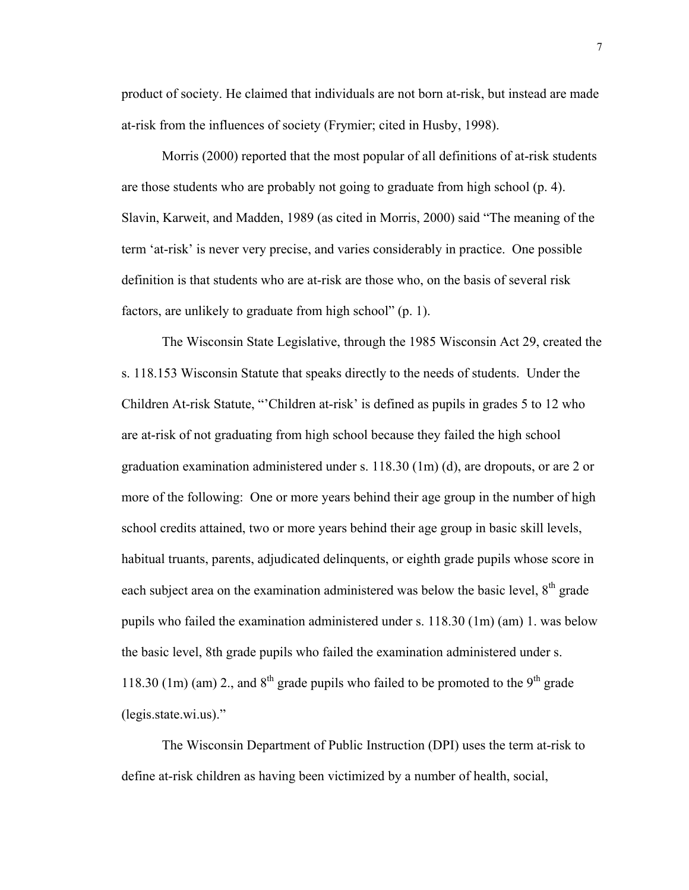product of society. He claimed that individuals are not born at-risk, but instead are made at-risk from the influences of society (Frymier; cited in Husby, 1998).

 Morris (2000) reported that the most popular of all definitions of at-risk students are those students who are probably not going to graduate from high school (p. 4). Slavin, Karweit, and Madden, 1989 (as cited in Morris, 2000) said "The meaning of the term 'at-risk' is never very precise, and varies considerably in practice. One possible definition is that students who are at-risk are those who, on the basis of several risk factors, are unlikely to graduate from high school" (p. 1).

 The Wisconsin State Legislative, through the 1985 Wisconsin Act 29, created the s. 118.153 Wisconsin Statute that speaks directly to the needs of students. Under the Children At-risk Statute, "'Children at-risk' is defined as pupils in grades 5 to 12 who are at-risk of not graduating from high school because they failed the high school graduation examination administered under s. 118.30 (1m) (d), are dropouts, or are 2 or more of the following: One or more years behind their age group in the number of high school credits attained, two or more years behind their age group in basic skill levels, habitual truants, parents, adjudicated delinquents, or eighth grade pupils whose score in each subject area on the examination administered was below the basic level,  $8<sup>th</sup>$  grade pupils who failed the examination administered under s. 118.30 (1m) (am) 1. was below the basic level, 8th grade pupils who failed the examination administered under s. 118.30 (1m) (am) 2., and  $8<sup>th</sup>$  grade pupils who failed to be promoted to the  $9<sup>th</sup>$  grade (legis.state.wi.us)."

 The Wisconsin Department of Public Instruction (DPI) uses the term at-risk to define at-risk children as having been victimized by a number of health, social,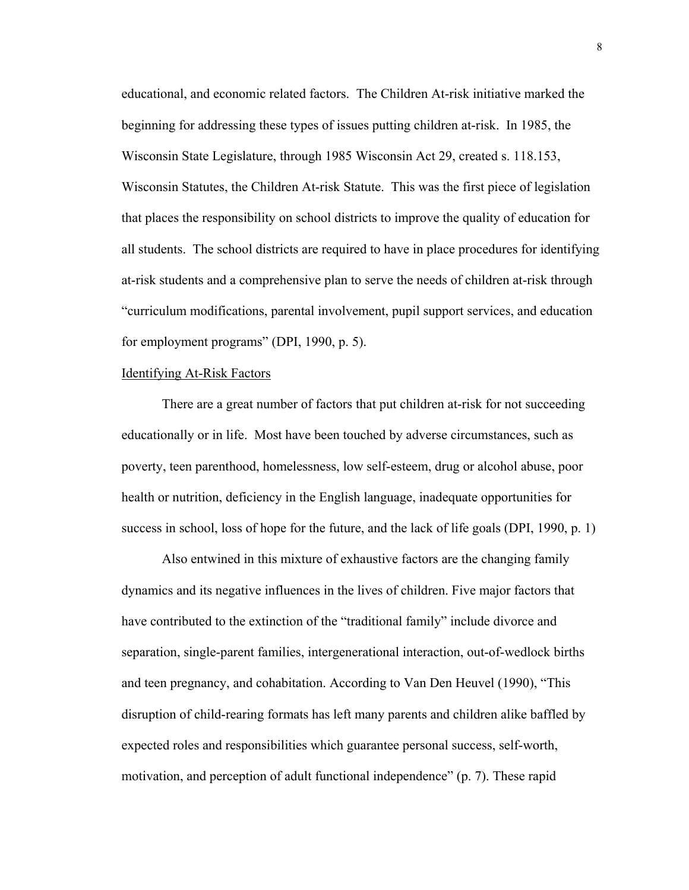educational, and economic related factors. The Children At-risk initiative marked the beginning for addressing these types of issues putting children at-risk. In 1985, the Wisconsin State Legislature, through 1985 Wisconsin Act 29, created s. 118.153, Wisconsin Statutes, the Children At-risk Statute. This was the first piece of legislation that places the responsibility on school districts to improve the quality of education for all students. The school districts are required to have in place procedures for identifying at-risk students and a comprehensive plan to serve the needs of children at-risk through "curriculum modifications, parental involvement, pupil support services, and education for employment programs" (DPI, 1990, p. 5).

# Identifying At-Risk Factors

 There are a great number of factors that put children at-risk for not succeeding educationally or in life. Most have been touched by adverse circumstances, such as poverty, teen parenthood, homelessness, low self-esteem, drug or alcohol abuse, poor health or nutrition, deficiency in the English language, inadequate opportunities for success in school, loss of hope for the future, and the lack of life goals (DPI, 1990, p. 1)

 Also entwined in this mixture of exhaustive factors are the changing family dynamics and its negative influences in the lives of children. Five major factors that have contributed to the extinction of the "traditional family" include divorce and separation, single-parent families, intergenerational interaction, out-of-wedlock births and teen pregnancy, and cohabitation. According to Van Den Heuvel (1990), "This disruption of child-rearing formats has left many parents and children alike baffled by expected roles and responsibilities which guarantee personal success, self-worth, motivation, and perception of adult functional independence" (p. 7). These rapid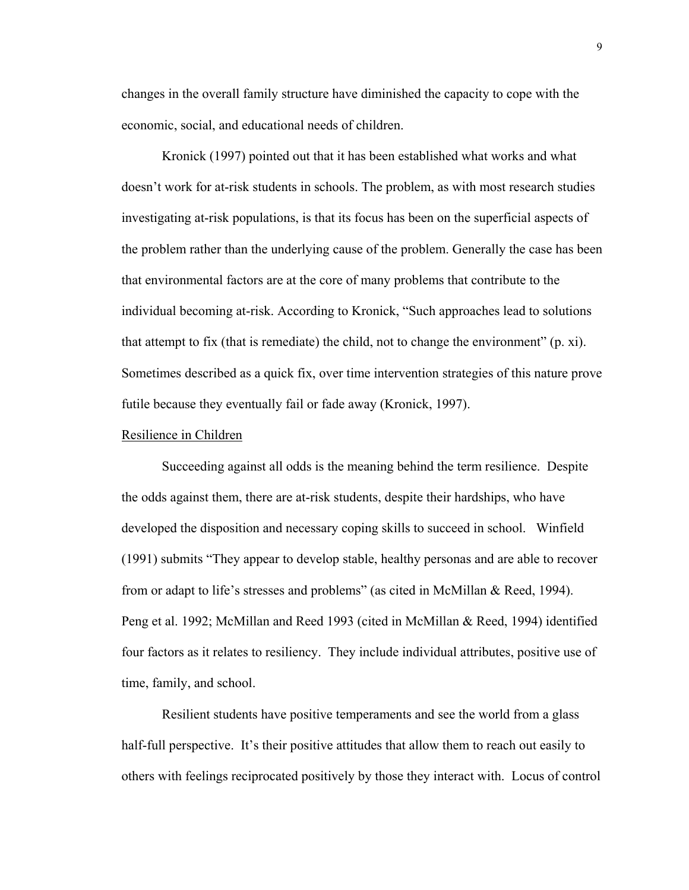changes in the overall family structure have diminished the capacity to cope with the economic, social, and educational needs of children.

 Kronick (1997) pointed out that it has been established what works and what doesn't work for at-risk students in schools. The problem, as with most research studies investigating at-risk populations, is that its focus has been on the superficial aspects of the problem rather than the underlying cause of the problem. Generally the case has been that environmental factors are at the core of many problems that contribute to the individual becoming at-risk. According to Kronick, "Such approaches lead to solutions that attempt to fix (that is remediate) the child, not to change the environment" (p. xi). Sometimes described as a quick fix, over time intervention strategies of this nature prove futile because they eventually fail or fade away (Kronick, 1997).

## Resilience in Children

Succeeding against all odds is the meaning behind the term resilience. Despite the odds against them, there are at-risk students, despite their hardships, who have developed the disposition and necessary coping skills to succeed in school. Winfield (1991) submits "They appear to develop stable, healthy personas and are able to recover from or adapt to life's stresses and problems" (as cited in McMillan & Reed, 1994). Peng et al. 1992; McMillan and Reed 1993 (cited in McMillan & Reed, 1994) identified four factors as it relates to resiliency. They include individual attributes, positive use of time, family, and school.

Resilient students have positive temperaments and see the world from a glass half-full perspective. It's their positive attitudes that allow them to reach out easily to others with feelings reciprocated positively by those they interact with. Locus of control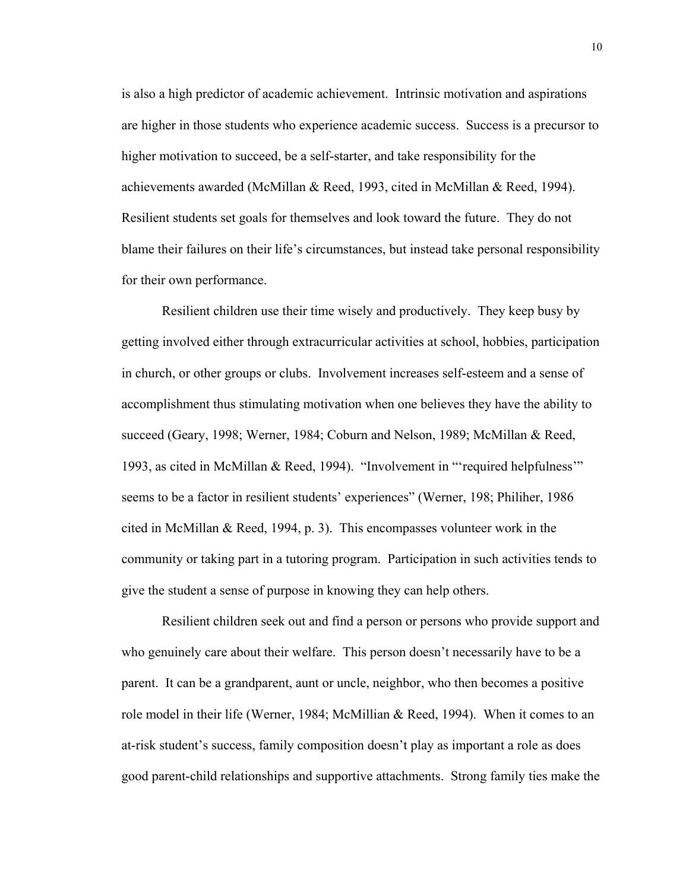is also a high predictor of academic achievement. Intrinsic motivation and aspirations are higher in those students who experience academic success. Success is a precursor to higher motivation to succeed, be a self-starter, and take responsibility for the achievements awarded (McMillan & Reed, 1993, cited in McMillan & Reed, 1994). Resilient students set goals for themselves and look toward the future. They do not blame their failures on their life's circumstances, but instead take personal responsibility for their own performance.

 Resilient children use their time wisely and productively. They keep busy by getting involved either through extracurricular activities at school, hobbies, participation in church, or other groups or clubs. Involvement increases self-esteem and a sense of accomplishment thus stimulating motivation when one believes they have the ability to succeed (Geary, 1998; Werner, 1984; Coburn and Nelson, 1989; McMillan & Reed, 1993, as cited in McMillan & Reed, 1994). "Involvement in "'required helpfulness'" seems to be a factor in resilient students' experiences" (Werner, 198; Philiher, 1986 cited in McMillan & Reed, 1994, p. 3). This encompasses volunteer work in the community or taking part in a tutoring program. Participation in such activities tends to give the student a sense of purpose in knowing they can help others.

 Resilient children seek out and find a person or persons who provide support and who genuinely care about their welfare. This person doesn't necessarily have to be a parent. It can be a grandparent, aunt or uncle, neighbor, who then becomes a positive role model in their life (Werner, 1984; McMillian & Reed, 1994). When it comes to an at-risk student's success, family composition doesn't play as important a role as does good parent-child relationships and supportive attachments. Strong family ties make the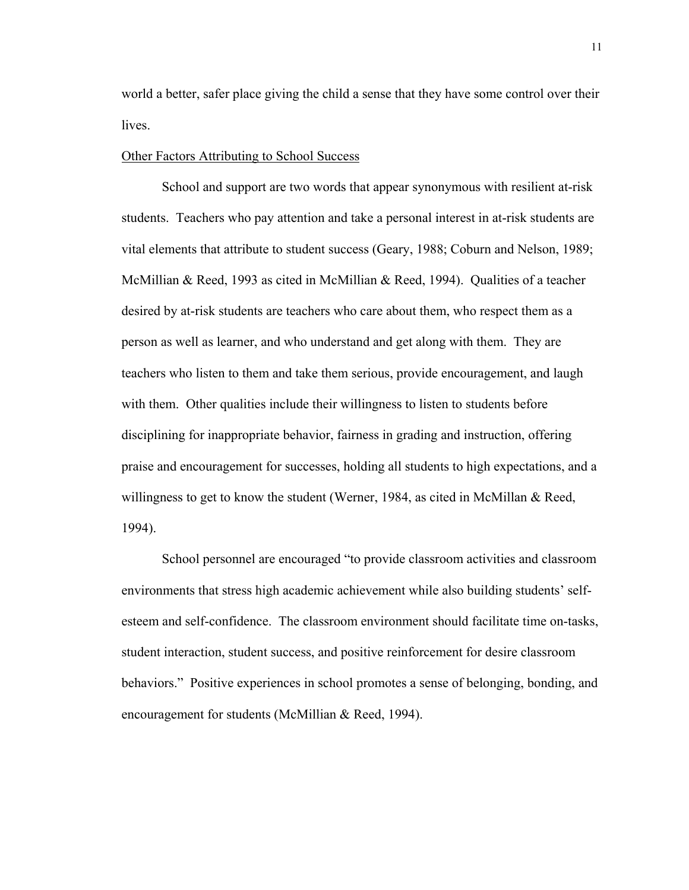world a better, safer place giving the child a sense that they have some control over their lives.

## Other Factors Attributing to School Success

 School and support are two words that appear synonymous with resilient at-risk students. Teachers who pay attention and take a personal interest in at-risk students are vital elements that attribute to student success (Geary, 1988; Coburn and Nelson, 1989; McMillian & Reed, 1993 as cited in McMillian & Reed, 1994). Qualities of a teacher desired by at-risk students are teachers who care about them, who respect them as a person as well as learner, and who understand and get along with them. They are teachers who listen to them and take them serious, provide encouragement, and laugh with them. Other qualities include their willingness to listen to students before disciplining for inappropriate behavior, fairness in grading and instruction, offering praise and encouragement for successes, holding all students to high expectations, and a willingness to get to know the student (Werner, 1984, as cited in McMillan & Reed, 1994).

 School personnel are encouraged "to provide classroom activities and classroom environments that stress high academic achievement while also building students' selfesteem and self-confidence. The classroom environment should facilitate time on-tasks, student interaction, student success, and positive reinforcement for desire classroom behaviors." Positive experiences in school promotes a sense of belonging, bonding, and encouragement for students (McMillian & Reed, 1994).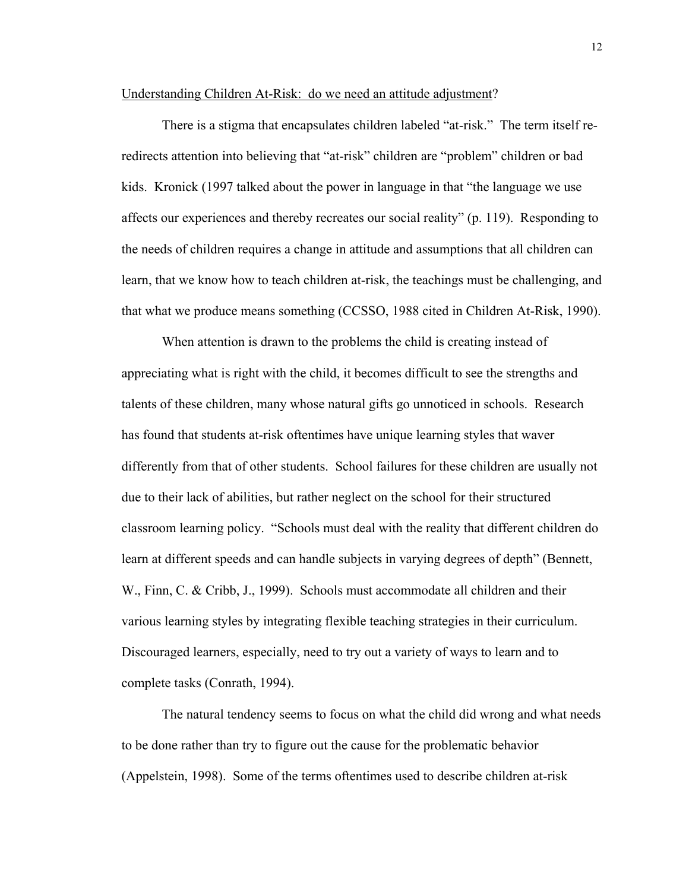## Understanding Children At-Risk: do we need an attitude adjustment?

 There is a stigma that encapsulates children labeled "at-risk." The term itself reredirects attention into believing that "at-risk" children are "problem" children or bad kids. Kronick (1997 talked about the power in language in that "the language we use affects our experiences and thereby recreates our social reality" (p. 119). Responding to the needs of children requires a change in attitude and assumptions that all children can learn, that we know how to teach children at-risk, the teachings must be challenging, and that what we produce means something (CCSSO, 1988 cited in Children At-Risk, 1990).

 When attention is drawn to the problems the child is creating instead of appreciating what is right with the child, it becomes difficult to see the strengths and talents of these children, many whose natural gifts go unnoticed in schools. Research has found that students at-risk oftentimes have unique learning styles that waver differently from that of other students. School failures for these children are usually not due to their lack of abilities, but rather neglect on the school for their structured classroom learning policy. "Schools must deal with the reality that different children do learn at different speeds and can handle subjects in varying degrees of depth" (Bennett, W., Finn, C. & Cribb, J., 1999). Schools must accommodate all children and their various learning styles by integrating flexible teaching strategies in their curriculum. Discouraged learners, especially, need to try out a variety of ways to learn and to complete tasks (Conrath, 1994).

 The natural tendency seems to focus on what the child did wrong and what needs to be done rather than try to figure out the cause for the problematic behavior (Appelstein, 1998). Some of the terms oftentimes used to describe children at-risk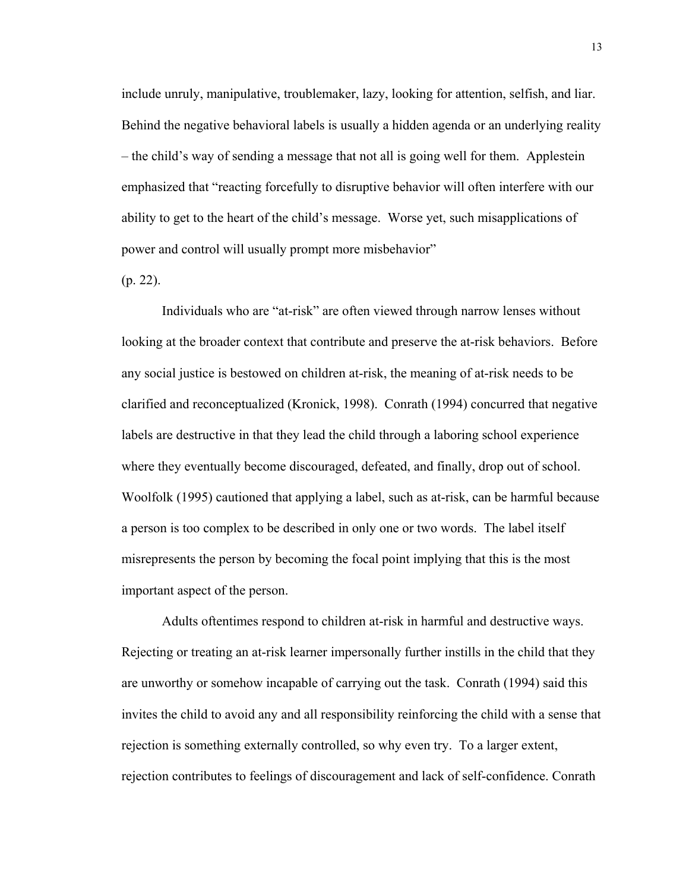include unruly, manipulative, troublemaker, lazy, looking for attention, selfish, and liar. Behind the negative behavioral labels is usually a hidden agenda or an underlying reality – the child's way of sending a message that not all is going well for them. Applestein emphasized that "reacting forcefully to disruptive behavior will often interfere with our ability to get to the heart of the child's message. Worse yet, such misapplications of power and control will usually prompt more misbehavior"

(p. 22).

 Individuals who are "at-risk" are often viewed through narrow lenses without looking at the broader context that contribute and preserve the at-risk behaviors. Before any social justice is bestowed on children at-risk, the meaning of at-risk needs to be clarified and reconceptualized (Kronick, 1998). Conrath (1994) concurred that negative labels are destructive in that they lead the child through a laboring school experience where they eventually become discouraged, defeated, and finally, drop out of school. Woolfolk (1995) cautioned that applying a label, such as at-risk, can be harmful because a person is too complex to be described in only one or two words. The label itself misrepresents the person by becoming the focal point implying that this is the most important aspect of the person.

 Adults oftentimes respond to children at-risk in harmful and destructive ways. Rejecting or treating an at-risk learner impersonally further instills in the child that they are unworthy or somehow incapable of carrying out the task. Conrath (1994) said this invites the child to avoid any and all responsibility reinforcing the child with a sense that rejection is something externally controlled, so why even try. To a larger extent, rejection contributes to feelings of discouragement and lack of self-confidence. Conrath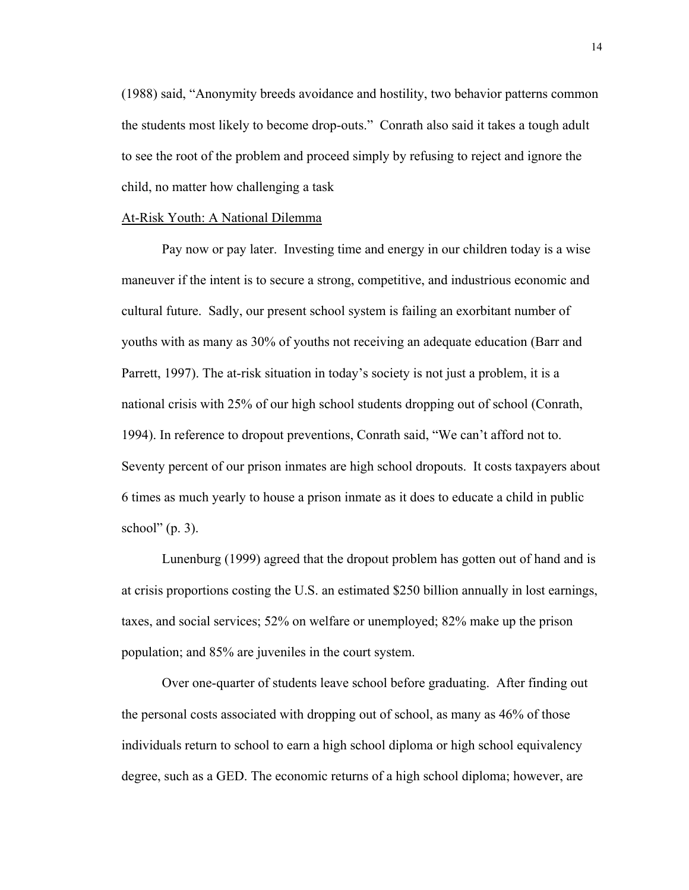(1988) said, "Anonymity breeds avoidance and hostility, two behavior patterns common the students most likely to become drop-outs." Conrath also said it takes a tough adult to see the root of the problem and proceed simply by refusing to reject and ignore the child, no matter how challenging a task

### At-Risk Youth: A National Dilemma

Pay now or pay later. Investing time and energy in our children today is a wise maneuver if the intent is to secure a strong, competitive, and industrious economic and cultural future. Sadly, our present school system is failing an exorbitant number of youths with as many as 30% of youths not receiving an adequate education (Barr and Parrett, 1997). The at-risk situation in today's society is not just a problem, it is a national crisis with 25% of our high school students dropping out of school (Conrath, 1994). In reference to dropout preventions, Conrath said, "We can't afford not to. Seventy percent of our prison inmates are high school dropouts. It costs taxpayers about 6 times as much yearly to house a prison inmate as it does to educate a child in public school"  $(p. 3)$ .

Lunenburg (1999) agreed that the dropout problem has gotten out of hand and is at crisis proportions costing the U.S. an estimated \$250 billion annually in lost earnings, taxes, and social services; 52% on welfare or unemployed; 82% make up the prison population; and 85% are juveniles in the court system.

Over one-quarter of students leave school before graduating. After finding out the personal costs associated with dropping out of school, as many as 46% of those individuals return to school to earn a high school diploma or high school equivalency degree, such as a GED. The economic returns of a high school diploma; however, are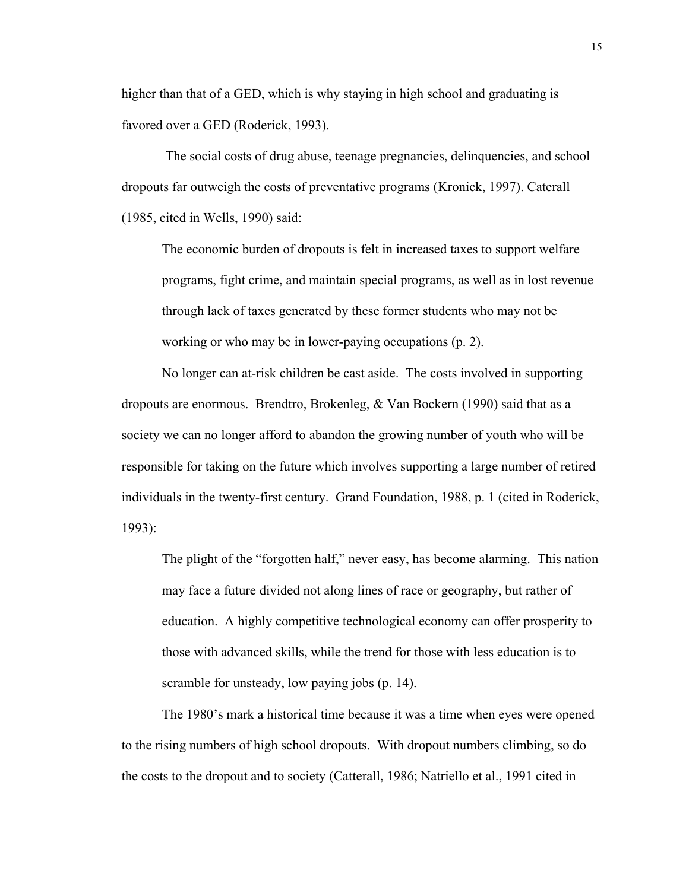higher than that of a GED, which is why staying in high school and graduating is favored over a GED (Roderick, 1993).

 The social costs of drug abuse, teenage pregnancies, delinquencies, and school dropouts far outweigh the costs of preventative programs (Kronick, 1997). Caterall (1985, cited in Wells, 1990) said:

The economic burden of dropouts is felt in increased taxes to support welfare programs, fight crime, and maintain special programs, as well as in lost revenue through lack of taxes generated by these former students who may not be working or who may be in lower-paying occupations (p. 2).

No longer can at-risk children be cast aside. The costs involved in supporting dropouts are enormous. Brendtro, Brokenleg, & Van Bockern (1990) said that as a society we can no longer afford to abandon the growing number of youth who will be responsible for taking on the future which involves supporting a large number of retired individuals in the twenty-first century. Grand Foundation, 1988, p. 1 (cited in Roderick, 1993):

The plight of the "forgotten half," never easy, has become alarming. This nation may face a future divided not along lines of race or geography, but rather of education. A highly competitive technological economy can offer prosperity to those with advanced skills, while the trend for those with less education is to scramble for unsteady, low paying jobs (p. 14).

The 1980's mark a historical time because it was a time when eyes were opened to the rising numbers of high school dropouts. With dropout numbers climbing, so do the costs to the dropout and to society (Catterall, 1986; Natriello et al., 1991 cited in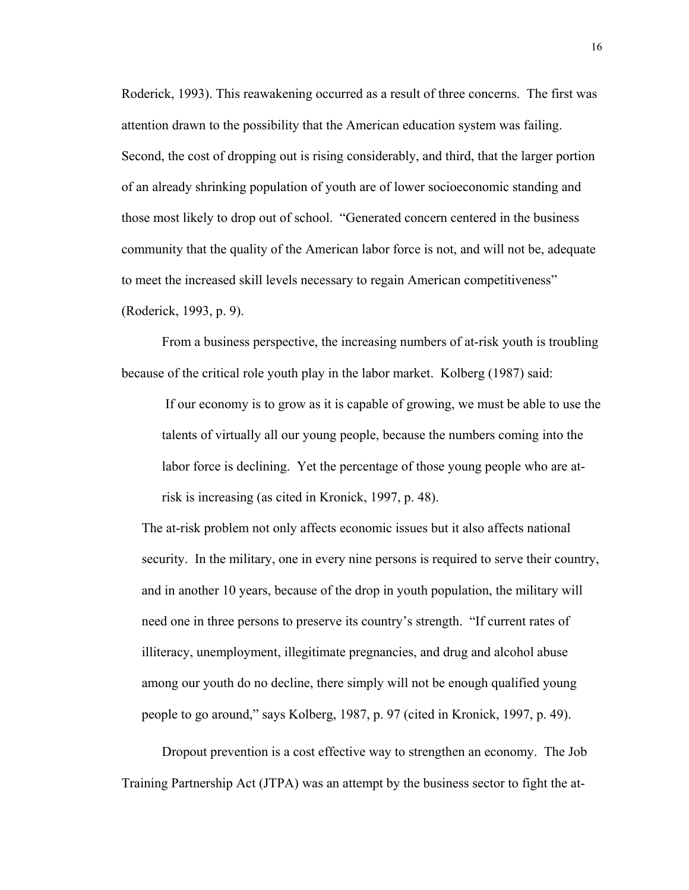Roderick, 1993). This reawakening occurred as a result of three concerns. The first was attention drawn to the possibility that the American education system was failing. Second, the cost of dropping out is rising considerably, and third, that the larger portion of an already shrinking population of youth are of lower socioeconomic standing and those most likely to drop out of school. "Generated concern centered in the business community that the quality of the American labor force is not, and will not be, adequate to meet the increased skill levels necessary to regain American competitiveness" (Roderick, 1993, p. 9).

From a business perspective, the increasing numbers of at-risk youth is troubling because of the critical role youth play in the labor market. Kolberg (1987) said:

If our economy is to grow as it is capable of growing, we must be able to use the talents of virtually all our young people, because the numbers coming into the labor force is declining. Yet the percentage of those young people who are atrisk is increasing (as cited in Kronick, 1997, p. 48).

The at-risk problem not only affects economic issues but it also affects national security. In the military, one in every nine persons is required to serve their country, and in another 10 years, because of the drop in youth population, the military will need one in three persons to preserve its country's strength. "If current rates of illiteracy, unemployment, illegitimate pregnancies, and drug and alcohol abuse among our youth do no decline, there simply will not be enough qualified young people to go around," says Kolberg, 1987, p. 97 (cited in Kronick, 1997, p. 49).

Dropout prevention is a cost effective way to strengthen an economy. The Job Training Partnership Act (JTPA) was an attempt by the business sector to fight the at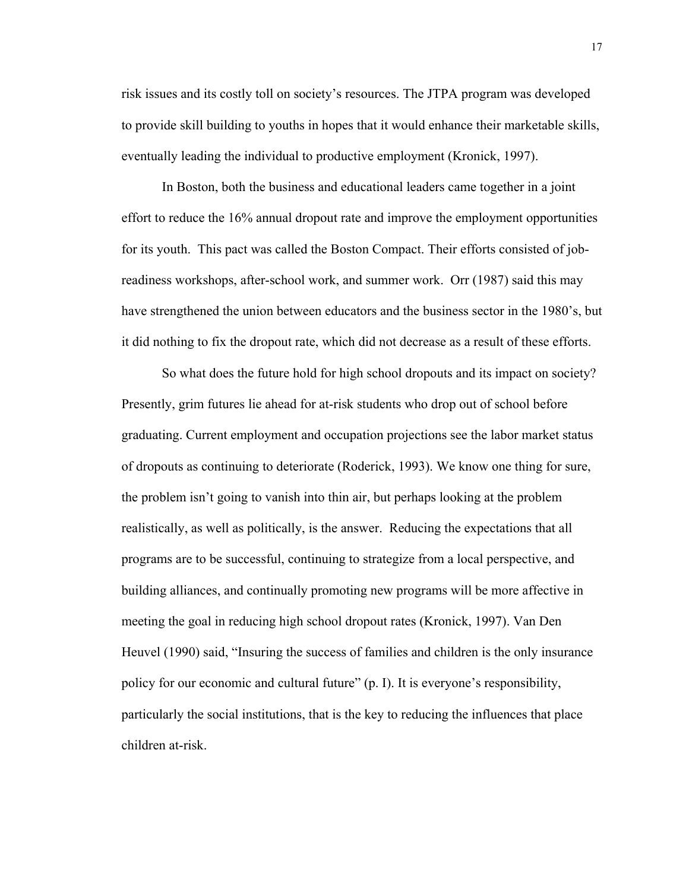risk issues and its costly toll on society's resources. The JTPA program was developed to provide skill building to youths in hopes that it would enhance their marketable skills, eventually leading the individual to productive employment (Kronick, 1997).

In Boston, both the business and educational leaders came together in a joint effort to reduce the 16% annual dropout rate and improve the employment opportunities for its youth. This pact was called the Boston Compact. Their efforts consisted of jobreadiness workshops, after-school work, and summer work. Orr (1987) said this may have strengthened the union between educators and the business sector in the 1980's, but it did nothing to fix the dropout rate, which did not decrease as a result of these efforts.

So what does the future hold for high school dropouts and its impact on society? Presently, grim futures lie ahead for at-risk students who drop out of school before graduating. Current employment and occupation projections see the labor market status of dropouts as continuing to deteriorate (Roderick, 1993). We know one thing for sure, the problem isn't going to vanish into thin air, but perhaps looking at the problem realistically, as well as politically, is the answer. Reducing the expectations that all programs are to be successful, continuing to strategize from a local perspective, and building alliances, and continually promoting new programs will be more affective in meeting the goal in reducing high school dropout rates (Kronick, 1997). Van Den Heuvel (1990) said, "Insuring the success of families and children is the only insurance policy for our economic and cultural future" (p. I). It is everyone's responsibility, particularly the social institutions, that is the key to reducing the influences that place children at-risk.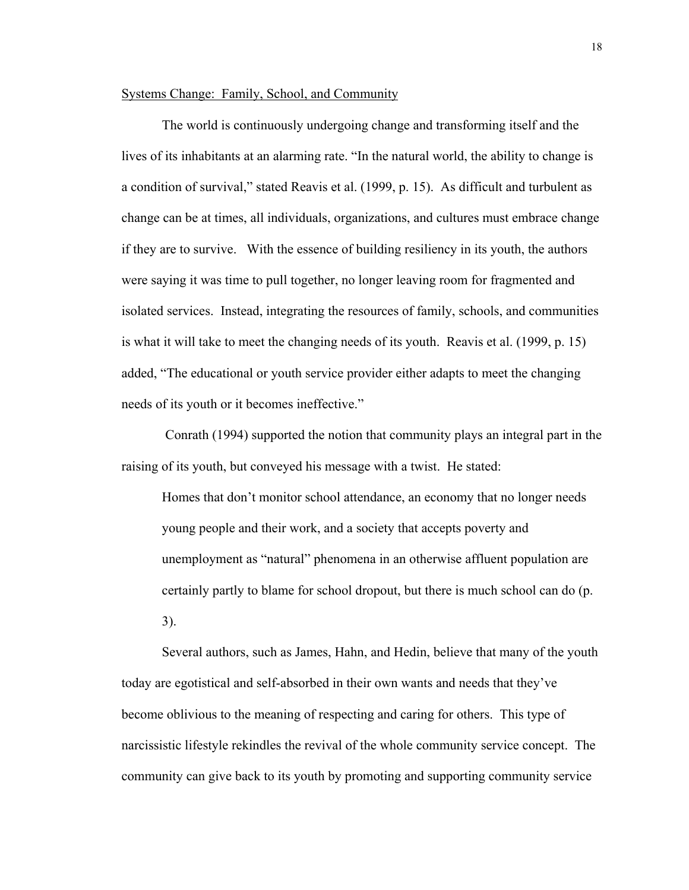# Systems Change: Family, School, and Community

The world is continuously undergoing change and transforming itself and the lives of its inhabitants at an alarming rate. "In the natural world, the ability to change is a condition of survival," stated Reavis et al. (1999, p. 15). As difficult and turbulent as change can be at times, all individuals, organizations, and cultures must embrace change if they are to survive. With the essence of building resiliency in its youth, the authors were saying it was time to pull together, no longer leaving room for fragmented and isolated services. Instead, integrating the resources of family, schools, and communities is what it will take to meet the changing needs of its youth. Reavis et al. (1999, p. 15) added, "The educational or youth service provider either adapts to meet the changing needs of its youth or it becomes ineffective."

 Conrath (1994) supported the notion that community plays an integral part in the raising of its youth, but conveyed his message with a twist. He stated:

Homes that don't monitor school attendance, an economy that no longer needs young people and their work, and a society that accepts poverty and unemployment as "natural" phenomena in an otherwise affluent population are certainly partly to blame for school dropout, but there is much school can do (p. 3).

Several authors, such as James, Hahn, and Hedin, believe that many of the youth today are egotistical and self-absorbed in their own wants and needs that they've become oblivious to the meaning of respecting and caring for others. This type of narcissistic lifestyle rekindles the revival of the whole community service concept. The community can give back to its youth by promoting and supporting community service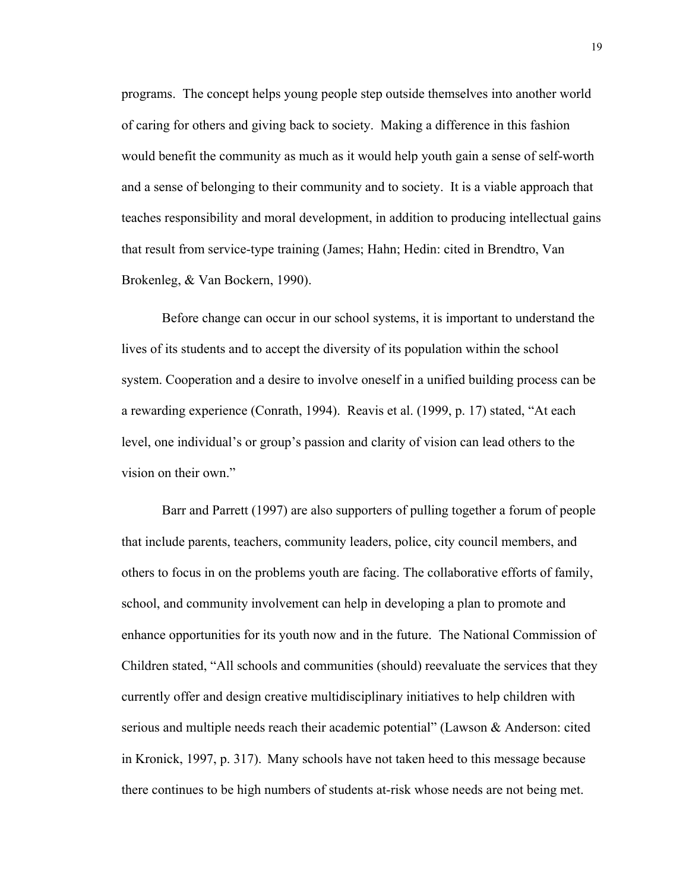programs. The concept helps young people step outside themselves into another world of caring for others and giving back to society. Making a difference in this fashion would benefit the community as much as it would help youth gain a sense of self-worth and a sense of belonging to their community and to society. It is a viable approach that teaches responsibility and moral development, in addition to producing intellectual gains that result from service-type training (James; Hahn; Hedin: cited in Brendtro, Van Brokenleg, & Van Bockern, 1990).

Before change can occur in our school systems, it is important to understand the lives of its students and to accept the diversity of its population within the school system. Cooperation and a desire to involve oneself in a unified building process can be a rewarding experience (Conrath, 1994). Reavis et al. (1999, p. 17) stated, "At each level, one individual's or group's passion and clarity of vision can lead others to the vision on their own."

Barr and Parrett (1997) are also supporters of pulling together a forum of people that include parents, teachers, community leaders, police, city council members, and others to focus in on the problems youth are facing. The collaborative efforts of family, school, and community involvement can help in developing a plan to promote and enhance opportunities for its youth now and in the future. The National Commission of Children stated, "All schools and communities (should) reevaluate the services that they currently offer and design creative multidisciplinary initiatives to help children with serious and multiple needs reach their academic potential" (Lawson & Anderson: cited in Kronick, 1997, p. 317). Many schools have not taken heed to this message because there continues to be high numbers of students at-risk whose needs are not being met.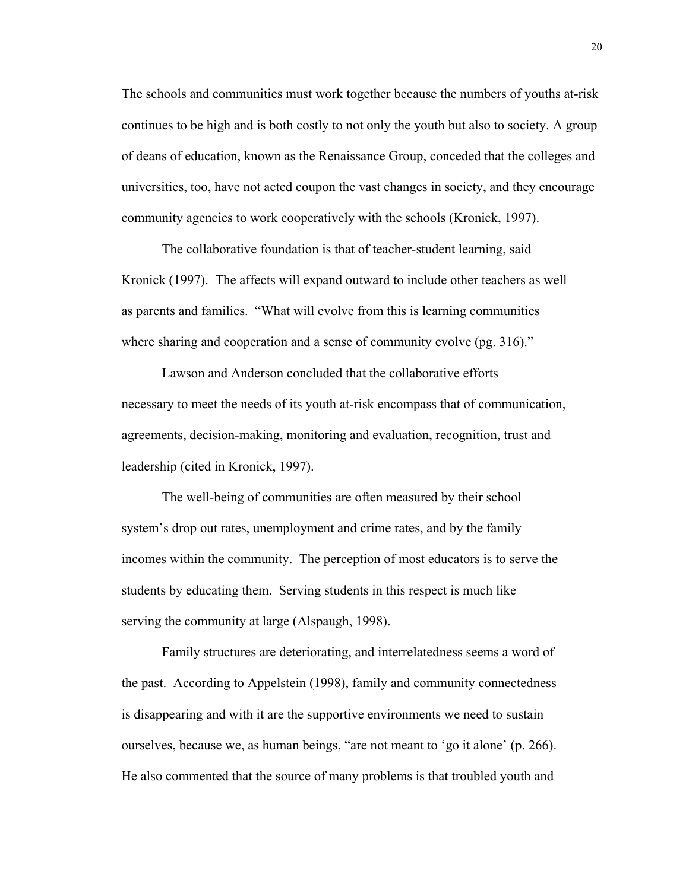The schools and communities must work together because the numbers of youths at-risk continues to be high and is both costly to not only the youth but also to society. A group of deans of education, known as the Renaissance Group, conceded that the colleges and universities, too, have not acted coupon the vast changes in society, and they encourage community agencies to work cooperatively with the schools (Kronick, 1997).

 The collaborative foundation is that of teacher-student learning, said Kronick (1997). The affects will expand outward to include other teachers as well as parents and families. "What will evolve from this is learning communities where sharing and cooperation and a sense of community evolve (pg. 316)."

 Lawson and Anderson concluded that the collaborative efforts necessary to meet the needs of its youth at-risk encompass that of communication, agreements, decision-making, monitoring and evaluation, recognition, trust and leadership (cited in Kronick, 1997).

 The well-being of communities are often measured by their school system's drop out rates, unemployment and crime rates, and by the family incomes within the community. The perception of most educators is to serve the students by educating them. Serving students in this respect is much like serving the community at large (Alspaugh, 1998).

 Family structures are deteriorating, and interrelatedness seems a word of the past. According to Appelstein (1998), family and community connectedness is disappearing and with it are the supportive environments we need to sustain ourselves, because we, as human beings, "are not meant to 'go it alone' (p. 266). He also commented that the source of many problems is that troubled youth and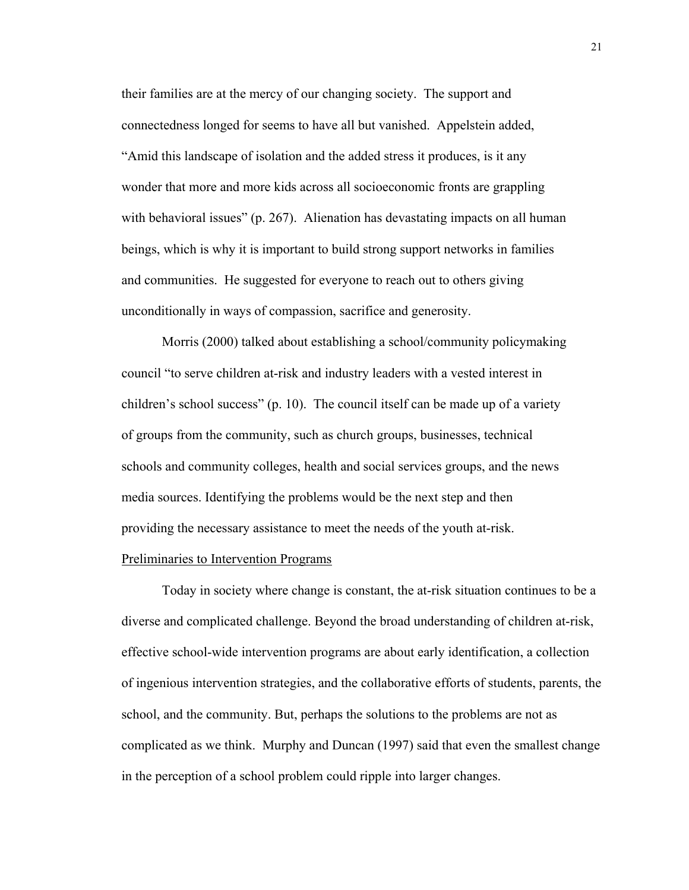their families are at the mercy of our changing society. The support and connectedness longed for seems to have all but vanished. Appelstein added, "Amid this landscape of isolation and the added stress it produces, is it any wonder that more and more kids across all socioeconomic fronts are grappling with behavioral issues" (p. 267). Alienation has devastating impacts on all human beings, which is why it is important to build strong support networks in families and communities. He suggested for everyone to reach out to others giving unconditionally in ways of compassion, sacrifice and generosity.

 Morris (2000) talked about establishing a school/community policymaking council "to serve children at-risk and industry leaders with a vested interest in children's school success" (p. 10). The council itself can be made up of a variety of groups from the community, such as church groups, businesses, technical schools and community colleges, health and social services groups, and the news media sources. Identifying the problems would be the next step and then providing the necessary assistance to meet the needs of the youth at-risk.

# Preliminaries to Intervention Programs

 Today in society where change is constant, the at-risk situation continues to be a diverse and complicated challenge. Beyond the broad understanding of children at-risk, effective school-wide intervention programs are about early identification, a collection of ingenious intervention strategies, and the collaborative efforts of students, parents, the school, and the community. But, perhaps the solutions to the problems are not as complicated as we think. Murphy and Duncan (1997) said that even the smallest change in the perception of a school problem could ripple into larger changes.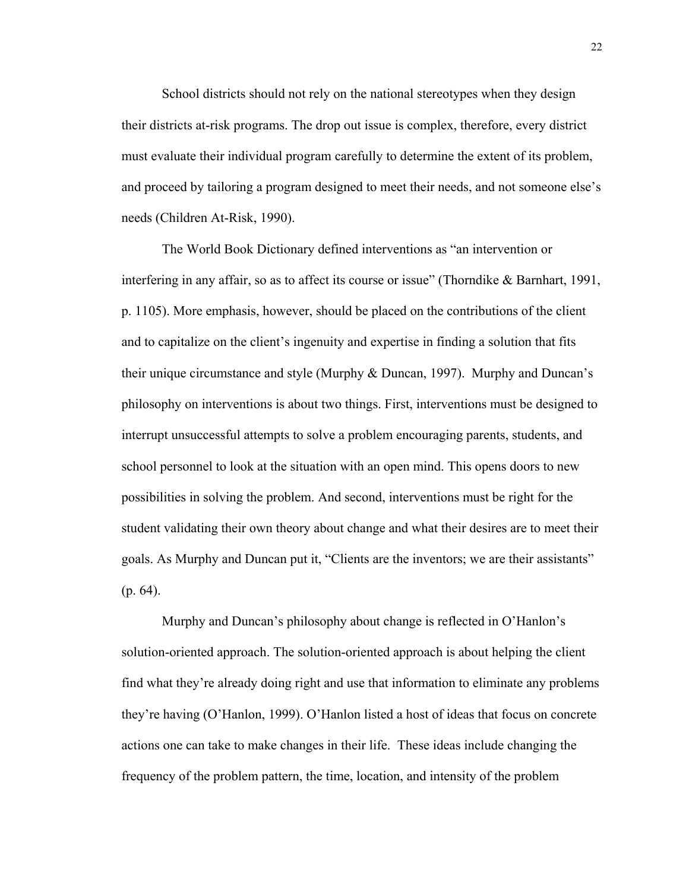School districts should not rely on the national stereotypes when they design their districts at-risk programs. The drop out issue is complex, therefore, every district must evaluate their individual program carefully to determine the extent of its problem, and proceed by tailoring a program designed to meet their needs, and not someone else's needs (Children At-Risk, 1990).

 The World Book Dictionary defined interventions as "an intervention or interfering in any affair, so as to affect its course or issue" (Thorndike & Barnhart, 1991, p. 1105). More emphasis, however, should be placed on the contributions of the client and to capitalize on the client's ingenuity and expertise in finding a solution that fits their unique circumstance and style (Murphy & Duncan, 1997). Murphy and Duncan's philosophy on interventions is about two things. First, interventions must be designed to interrupt unsuccessful attempts to solve a problem encouraging parents, students, and school personnel to look at the situation with an open mind. This opens doors to new possibilities in solving the problem. And second, interventions must be right for the student validating their own theory about change and what their desires are to meet their goals. As Murphy and Duncan put it, "Clients are the inventors; we are their assistants" (p. 64).

Murphy and Duncan's philosophy about change is reflected in O'Hanlon's solution-oriented approach. The solution-oriented approach is about helping the client find what they're already doing right and use that information to eliminate any problems they're having (O'Hanlon, 1999). O'Hanlon listed a host of ideas that focus on concrete actions one can take to make changes in their life. These ideas include changing the frequency of the problem pattern, the time, location, and intensity of the problem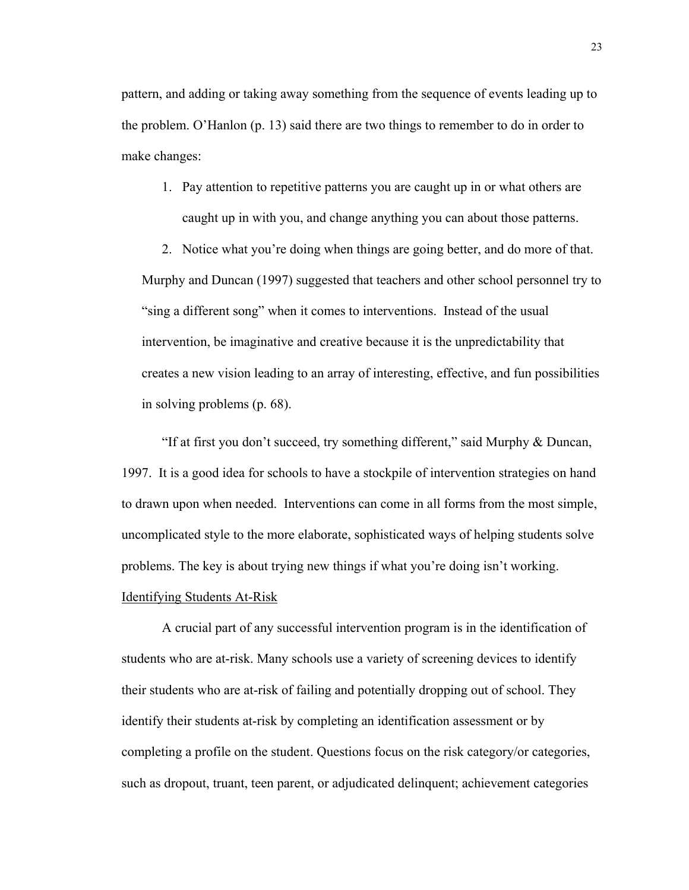pattern, and adding or taking away something from the sequence of events leading up to the problem. O'Hanlon (p. 13) said there are two things to remember to do in order to make changes:

1. Pay attention to repetitive patterns you are caught up in or what others are caught up in with you, and change anything you can about those patterns.

2. Notice what you're doing when things are going better, and do more of that. Murphy and Duncan (1997) suggested that teachers and other school personnel try to "sing a different song" when it comes to interventions. Instead of the usual intervention, be imaginative and creative because it is the unpredictability that creates a new vision leading to an array of interesting, effective, and fun possibilities in solving problems (p. 68).

 "If at first you don't succeed, try something different," said Murphy & Duncan, 1997. It is a good idea for schools to have a stockpile of intervention strategies on hand to drawn upon when needed. Interventions can come in all forms from the most simple, uncomplicated style to the more elaborate, sophisticated ways of helping students solve problems. The key is about trying new things if what you're doing isn't working. Identifying Students At-Risk

A crucial part of any successful intervention program is in the identification of students who are at-risk. Many schools use a variety of screening devices to identify their students who are at-risk of failing and potentially dropping out of school. They identify their students at-risk by completing an identification assessment or by completing a profile on the student. Questions focus on the risk category/or categories, such as dropout, truant, teen parent, or adjudicated delinquent; achievement categories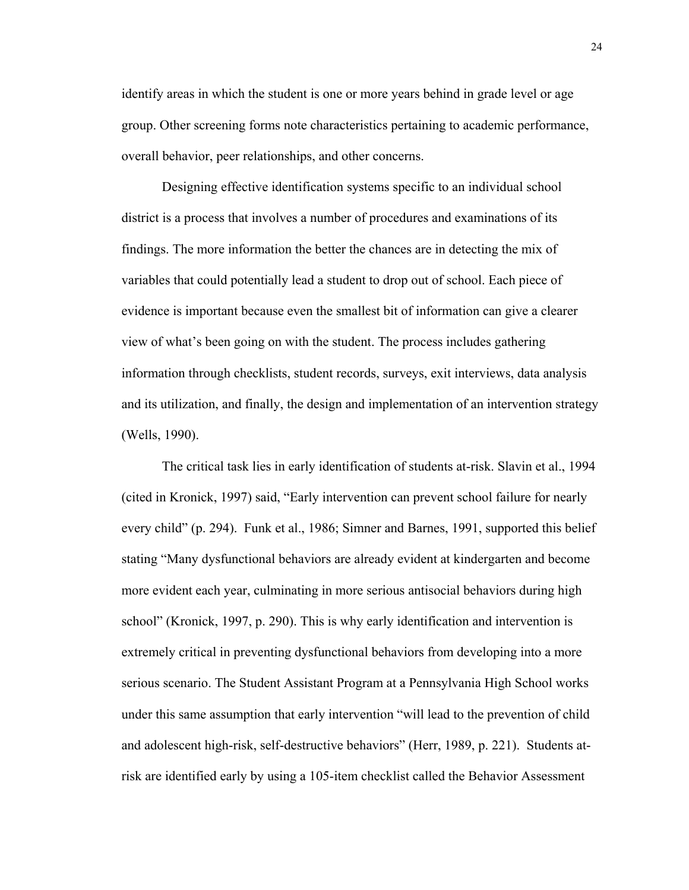identify areas in which the student is one or more years behind in grade level or age group. Other screening forms note characteristics pertaining to academic performance, overall behavior, peer relationships, and other concerns.

 Designing effective identification systems specific to an individual school district is a process that involves a number of procedures and examinations of its findings. The more information the better the chances are in detecting the mix of variables that could potentially lead a student to drop out of school. Each piece of evidence is important because even the smallest bit of information can give a clearer view of what's been going on with the student. The process includes gathering information through checklists, student records, surveys, exit interviews, data analysis and its utilization, and finally, the design and implementation of an intervention strategy (Wells, 1990).

The critical task lies in early identification of students at-risk. Slavin et al., 1994 (cited in Kronick, 1997) said, "Early intervention can prevent school failure for nearly every child" (p. 294). Funk et al., 1986; Simner and Barnes, 1991, supported this belief stating "Many dysfunctional behaviors are already evident at kindergarten and become more evident each year, culminating in more serious antisocial behaviors during high school" (Kronick, 1997, p. 290). This is why early identification and intervention is extremely critical in preventing dysfunctional behaviors from developing into a more serious scenario. The Student Assistant Program at a Pennsylvania High School works under this same assumption that early intervention "will lead to the prevention of child and adolescent high-risk, self-destructive behaviors" (Herr, 1989, p. 221). Students atrisk are identified early by using a 105-item checklist called the Behavior Assessment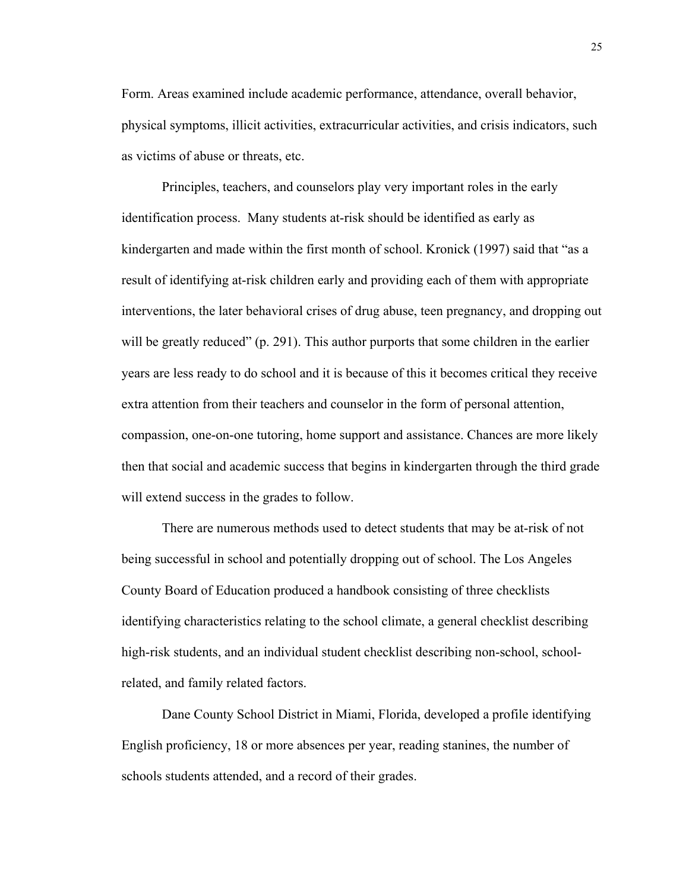Form. Areas examined include academic performance, attendance, overall behavior, physical symptoms, illicit activities, extracurricular activities, and crisis indicators, such as victims of abuse or threats, etc.

Principles, teachers, and counselors play very important roles in the early identification process. Many students at-risk should be identified as early as kindergarten and made within the first month of school. Kronick (1997) said that "as a result of identifying at-risk children early and providing each of them with appropriate interventions, the later behavioral crises of drug abuse, teen pregnancy, and dropping out will be greatly reduced" (p. 291). This author purports that some children in the earlier years are less ready to do school and it is because of this it becomes critical they receive extra attention from their teachers and counselor in the form of personal attention, compassion, one-on-one tutoring, home support and assistance. Chances are more likely then that social and academic success that begins in kindergarten through the third grade will extend success in the grades to follow.

There are numerous methods used to detect students that may be at-risk of not being successful in school and potentially dropping out of school. The Los Angeles County Board of Education produced a handbook consisting of three checklists identifying characteristics relating to the school climate, a general checklist describing high-risk students, and an individual student checklist describing non-school, schoolrelated, and family related factors.

Dane County School District in Miami, Florida, developed a profile identifying English proficiency, 18 or more absences per year, reading stanines, the number of schools students attended, and a record of their grades.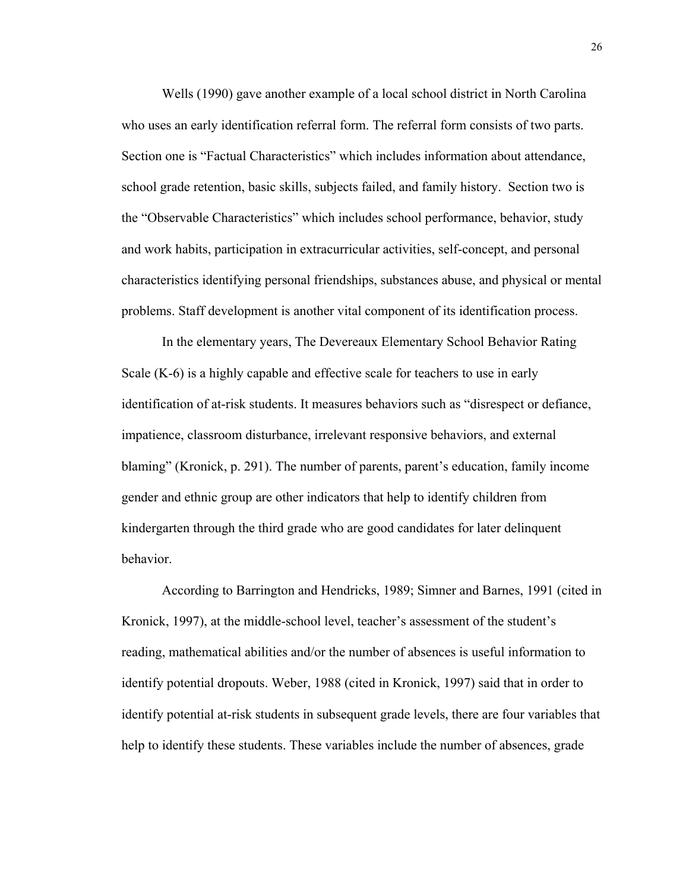Wells (1990) gave another example of a local school district in North Carolina who uses an early identification referral form. The referral form consists of two parts. Section one is "Factual Characteristics" which includes information about attendance, school grade retention, basic skills, subjects failed, and family history. Section two is the "Observable Characteristics" which includes school performance, behavior, study and work habits, participation in extracurricular activities, self-concept, and personal characteristics identifying personal friendships, substances abuse, and physical or mental problems. Staff development is another vital component of its identification process.

In the elementary years, The Devereaux Elementary School Behavior Rating Scale (K-6) is a highly capable and effective scale for teachers to use in early identification of at-risk students. It measures behaviors such as "disrespect or defiance, impatience, classroom disturbance, irrelevant responsive behaviors, and external blaming" (Kronick, p. 291). The number of parents, parent's education, family income gender and ethnic group are other indicators that help to identify children from kindergarten through the third grade who are good candidates for later delinquent behavior.

According to Barrington and Hendricks, 1989; Simner and Barnes, 1991 (cited in Kronick, 1997), at the middle-school level, teacher's assessment of the student's reading, mathematical abilities and/or the number of absences is useful information to identify potential dropouts. Weber, 1988 (cited in Kronick, 1997) said that in order to identify potential at-risk students in subsequent grade levels, there are four variables that help to identify these students. These variables include the number of absences, grade

26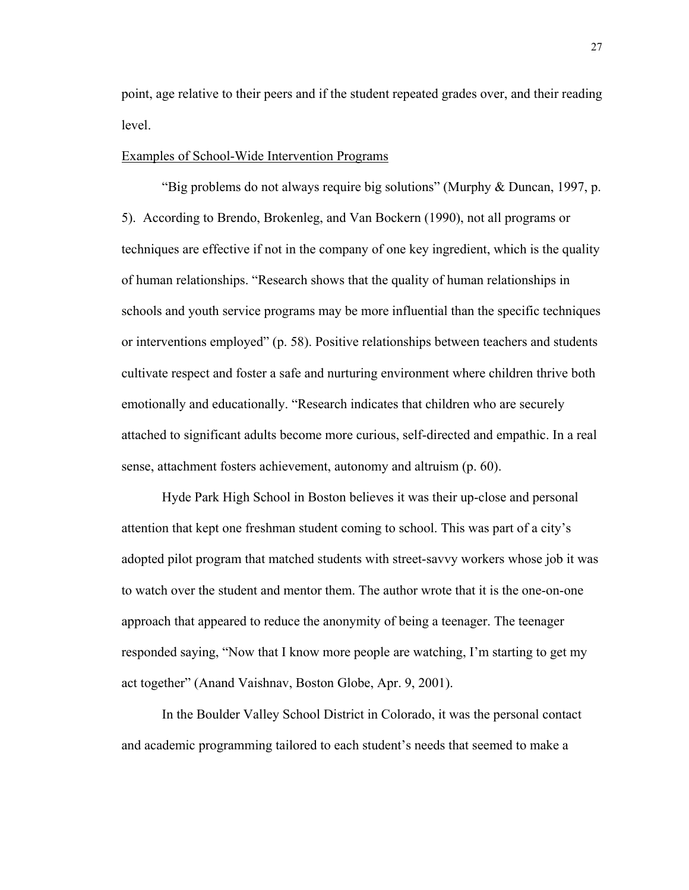point, age relative to their peers and if the student repeated grades over, and their reading level.

## Examples of School-Wide Intervention Programs

 "Big problems do not always require big solutions" (Murphy & Duncan, 1997, p. 5). According to Brendo, Brokenleg, and Van Bockern (1990), not all programs or techniques are effective if not in the company of one key ingredient, which is the quality of human relationships. "Research shows that the quality of human relationships in schools and youth service programs may be more influential than the specific techniques or interventions employed" (p. 58). Positive relationships between teachers and students cultivate respect and foster a safe and nurturing environment where children thrive both emotionally and educationally. "Research indicates that children who are securely attached to significant adults become more curious, self-directed and empathic. In a real sense, attachment fosters achievement, autonomy and altruism (p. 60).

Hyde Park High School in Boston believes it was their up-close and personal attention that kept one freshman student coming to school. This was part of a city's adopted pilot program that matched students with street-savvy workers whose job it was to watch over the student and mentor them. The author wrote that it is the one-on-one approach that appeared to reduce the anonymity of being a teenager. The teenager responded saying, "Now that I know more people are watching, I'm starting to get my act together" (Anand Vaishnav, Boston Globe, Apr. 9, 2001).

 In the Boulder Valley School District in Colorado, it was the personal contact and academic programming tailored to each student's needs that seemed to make a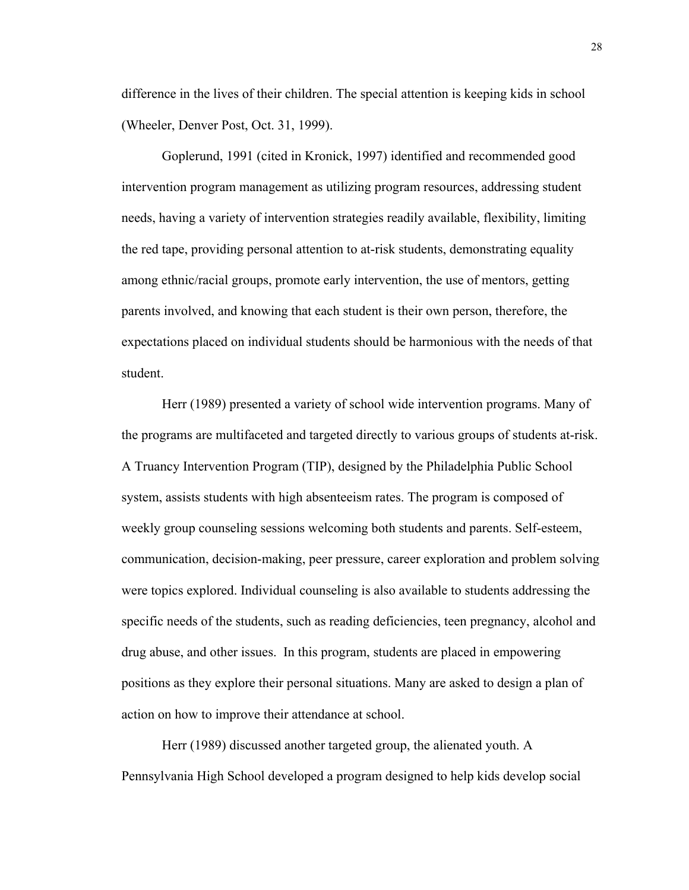difference in the lives of their children. The special attention is keeping kids in school (Wheeler, Denver Post, Oct. 31, 1999).

 Goplerund, 1991 (cited in Kronick, 1997) identified and recommended good intervention program management as utilizing program resources, addressing student needs, having a variety of intervention strategies readily available, flexibility, limiting the red tape, providing personal attention to at-risk students, demonstrating equality among ethnic/racial groups, promote early intervention, the use of mentors, getting parents involved, and knowing that each student is their own person, therefore, the expectations placed on individual students should be harmonious with the needs of that student.

 Herr (1989) presented a variety of school wide intervention programs. Many of the programs are multifaceted and targeted directly to various groups of students at-risk. A Truancy Intervention Program (TIP), designed by the Philadelphia Public School system, assists students with high absenteeism rates. The program is composed of weekly group counseling sessions welcoming both students and parents. Self-esteem, communication, decision-making, peer pressure, career exploration and problem solving were topics explored. Individual counseling is also available to students addressing the specific needs of the students, such as reading deficiencies, teen pregnancy, alcohol and drug abuse, and other issues. In this program, students are placed in empowering positions as they explore their personal situations. Many are asked to design a plan of action on how to improve their attendance at school.

Herr (1989) discussed another targeted group, the alienated youth. A Pennsylvania High School developed a program designed to help kids develop social

28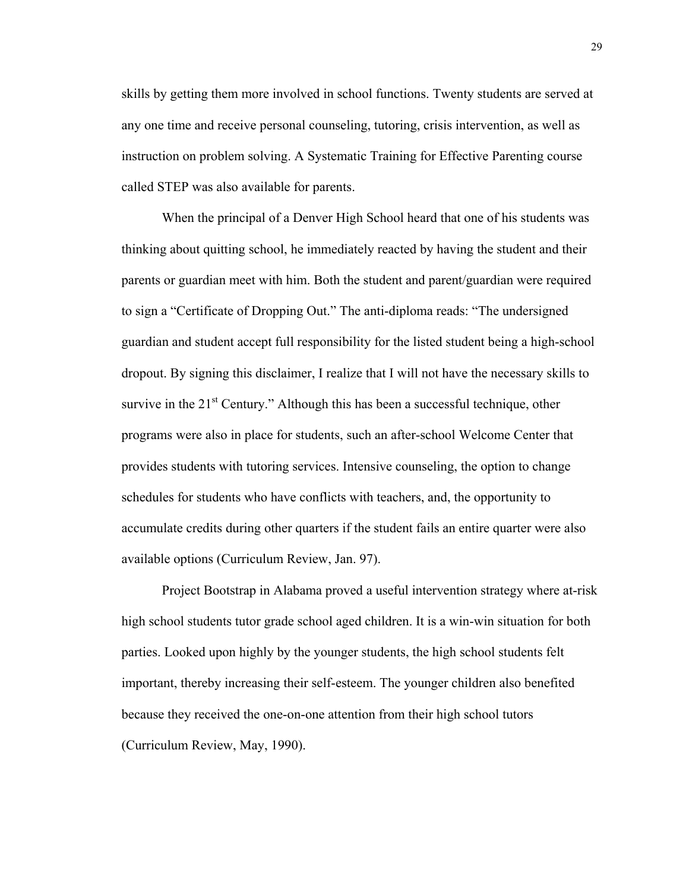skills by getting them more involved in school functions. Twenty students are served at any one time and receive personal counseling, tutoring, crisis intervention, as well as instruction on problem solving. A Systematic Training for Effective Parenting course called STEP was also available for parents.

When the principal of a Denver High School heard that one of his students was thinking about quitting school, he immediately reacted by having the student and their parents or guardian meet with him. Both the student and parent/guardian were required to sign a "Certificate of Dropping Out." The anti-diploma reads: "The undersigned guardian and student accept full responsibility for the listed student being a high-school dropout. By signing this disclaimer, I realize that I will not have the necessary skills to survive in the  $21<sup>st</sup>$  Century." Although this has been a successful technique, other programs were also in place for students, such an after-school Welcome Center that provides students with tutoring services. Intensive counseling, the option to change schedules for students who have conflicts with teachers, and, the opportunity to accumulate credits during other quarters if the student fails an entire quarter were also available options (Curriculum Review, Jan. 97).

Project Bootstrap in Alabama proved a useful intervention strategy where at-risk high school students tutor grade school aged children. It is a win-win situation for both parties. Looked upon highly by the younger students, the high school students felt important, thereby increasing their self-esteem. The younger children also benefited because they received the one-on-one attention from their high school tutors (Curriculum Review, May, 1990).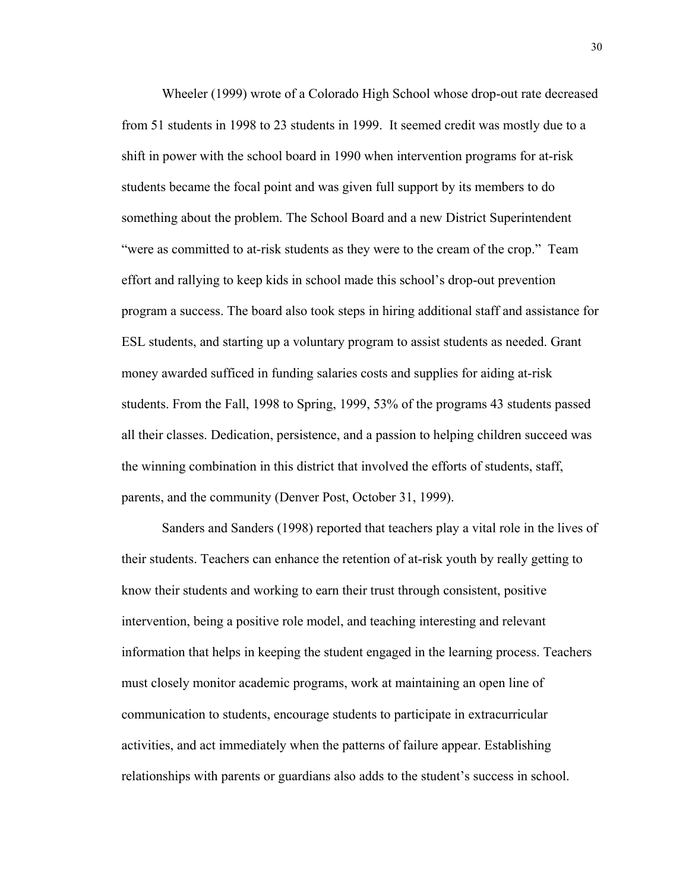Wheeler (1999) wrote of a Colorado High School whose drop-out rate decreased from 51 students in 1998 to 23 students in 1999. It seemed credit was mostly due to a shift in power with the school board in 1990 when intervention programs for at-risk students became the focal point and was given full support by its members to do something about the problem. The School Board and a new District Superintendent "were as committed to at-risk students as they were to the cream of the crop." Team effort and rallying to keep kids in school made this school's drop-out prevention program a success. The board also took steps in hiring additional staff and assistance for ESL students, and starting up a voluntary program to assist students as needed. Grant money awarded sufficed in funding salaries costs and supplies for aiding at-risk students. From the Fall, 1998 to Spring, 1999, 53% of the programs 43 students passed all their classes. Dedication, persistence, and a passion to helping children succeed was the winning combination in this district that involved the efforts of students, staff, parents, and the community (Denver Post, October 31, 1999).

Sanders and Sanders (1998) reported that teachers play a vital role in the lives of their students. Teachers can enhance the retention of at-risk youth by really getting to know their students and working to earn their trust through consistent, positive intervention, being a positive role model, and teaching interesting and relevant information that helps in keeping the student engaged in the learning process. Teachers must closely monitor academic programs, work at maintaining an open line of communication to students, encourage students to participate in extracurricular activities, and act immediately when the patterns of failure appear. Establishing relationships with parents or guardians also adds to the student's success in school.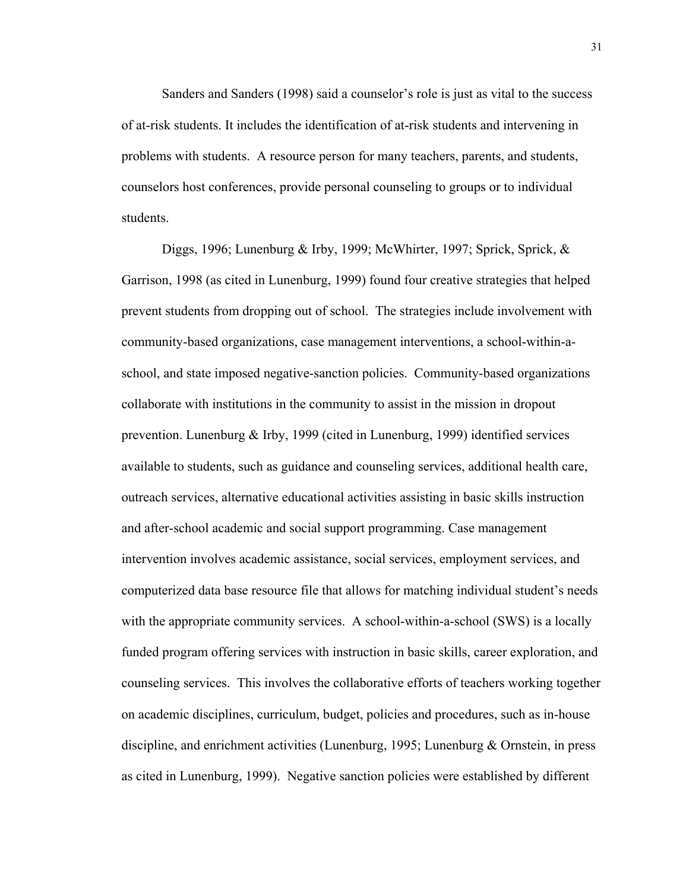Sanders and Sanders (1998) said a counselor's role is just as vital to the success of at-risk students. It includes the identification of at-risk students and intervening in problems with students. A resource person for many teachers, parents, and students, counselors host conferences, provide personal counseling to groups or to individual students.

Diggs, 1996; Lunenburg & Irby, 1999; McWhirter, 1997; Sprick, Sprick, & Garrison, 1998 (as cited in Lunenburg, 1999) found four creative strategies that helped prevent students from dropping out of school. The strategies include involvement with community-based organizations, case management interventions, a school-within-aschool, and state imposed negative-sanction policies. Community-based organizations collaborate with institutions in the community to assist in the mission in dropout prevention. Lunenburg & Irby, 1999 (cited in Lunenburg, 1999) identified services available to students, such as guidance and counseling services, additional health care, outreach services, alternative educational activities assisting in basic skills instruction and after-school academic and social support programming. Case management intervention involves academic assistance, social services, employment services, and computerized data base resource file that allows for matching individual student's needs with the appropriate community services. A school-within-a-school (SWS) is a locally funded program offering services with instruction in basic skills, career exploration, and counseling services. This involves the collaborative efforts of teachers working together on academic disciplines, curriculum, budget, policies and procedures, such as in-house discipline, and enrichment activities (Lunenburg, 1995; Lunenburg & Ornstein, in press as cited in Lunenburg, 1999). Negative sanction policies were established by different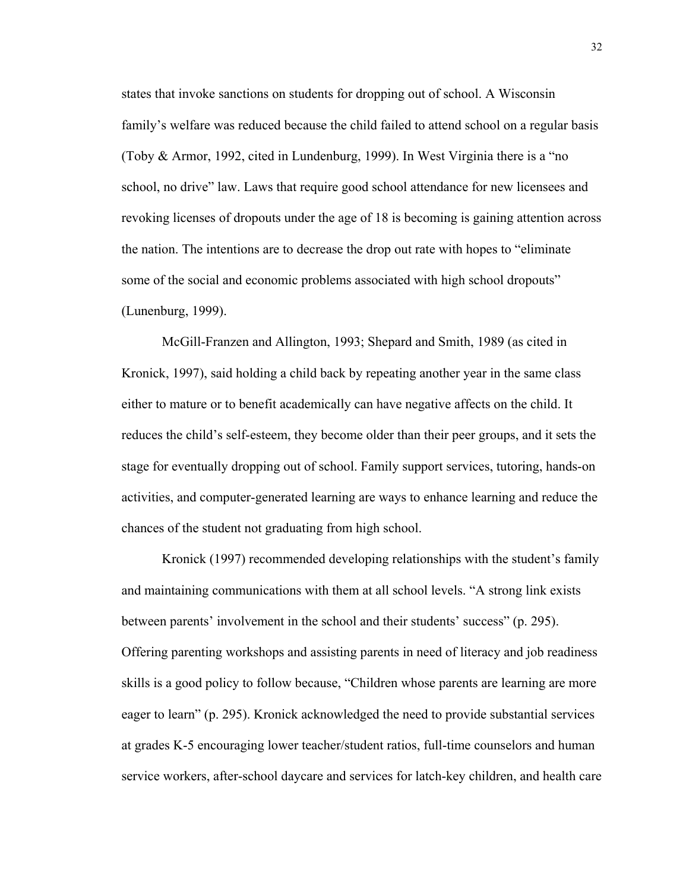states that invoke sanctions on students for dropping out of school. A Wisconsin family's welfare was reduced because the child failed to attend school on a regular basis (Toby & Armor, 1992, cited in Lundenburg, 1999). In West Virginia there is a "no school, no drive" law. Laws that require good school attendance for new licensees and revoking licenses of dropouts under the age of 18 is becoming is gaining attention across the nation. The intentions are to decrease the drop out rate with hopes to "eliminate some of the social and economic problems associated with high school dropouts" (Lunenburg, 1999).

 McGill-Franzen and Allington, 1993; Shepard and Smith, 1989 (as cited in Kronick, 1997), said holding a child back by repeating another year in the same class either to mature or to benefit academically can have negative affects on the child. It reduces the child's self-esteem, they become older than their peer groups, and it sets the stage for eventually dropping out of school. Family support services, tutoring, hands-on activities, and computer-generated learning are ways to enhance learning and reduce the chances of the student not graduating from high school.

 Kronick (1997) recommended developing relationships with the student's family and maintaining communications with them at all school levels. "A strong link exists between parents' involvement in the school and their students' success" (p. 295). Offering parenting workshops and assisting parents in need of literacy and job readiness skills is a good policy to follow because, "Children whose parents are learning are more eager to learn" (p. 295). Kronick acknowledged the need to provide substantial services at grades K-5 encouraging lower teacher/student ratios, full-time counselors and human service workers, after-school daycare and services for latch-key children, and health care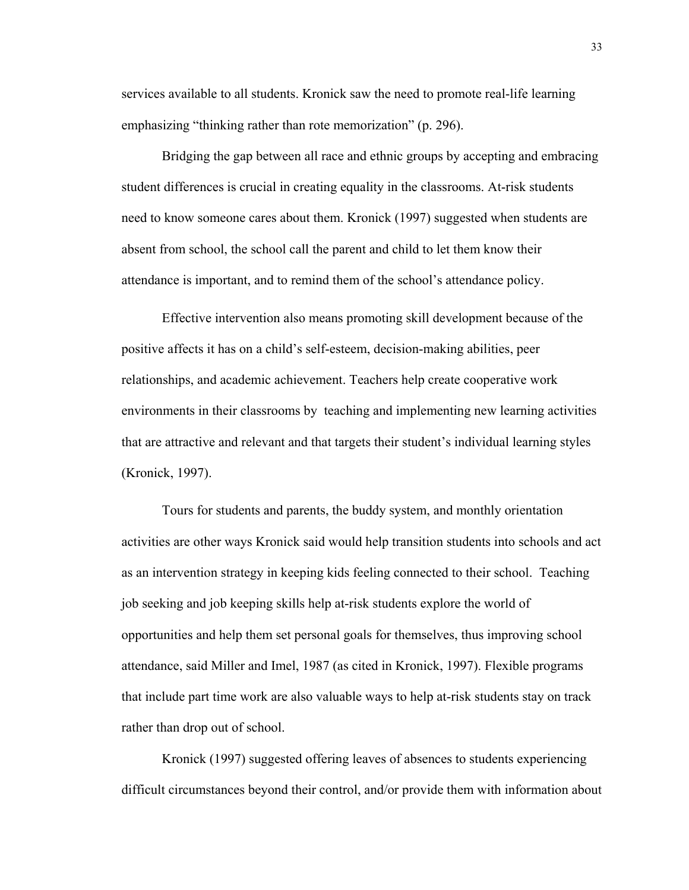services available to all students. Kronick saw the need to promote real-life learning emphasizing "thinking rather than rote memorization" (p. 296).

Bridging the gap between all race and ethnic groups by accepting and embracing student differences is crucial in creating equality in the classrooms. At-risk students need to know someone cares about them. Kronick (1997) suggested when students are absent from school, the school call the parent and child to let them know their attendance is important, and to remind them of the school's attendance policy.

Effective intervention also means promoting skill development because of the positive affects it has on a child's self-esteem, decision-making abilities, peer relationships, and academic achievement. Teachers help create cooperative work environments in their classrooms by teaching and implementing new learning activities that are attractive and relevant and that targets their student's individual learning styles (Kronick, 1997).

 Tours for students and parents, the buddy system, and monthly orientation activities are other ways Kronick said would help transition students into schools and act as an intervention strategy in keeping kids feeling connected to their school. Teaching job seeking and job keeping skills help at-risk students explore the world of opportunities and help them set personal goals for themselves, thus improving school attendance, said Miller and Imel, 1987 (as cited in Kronick, 1997). Flexible programs that include part time work are also valuable ways to help at-risk students stay on track rather than drop out of school.

 Kronick (1997) suggested offering leaves of absences to students experiencing difficult circumstances beyond their control, and/or provide them with information about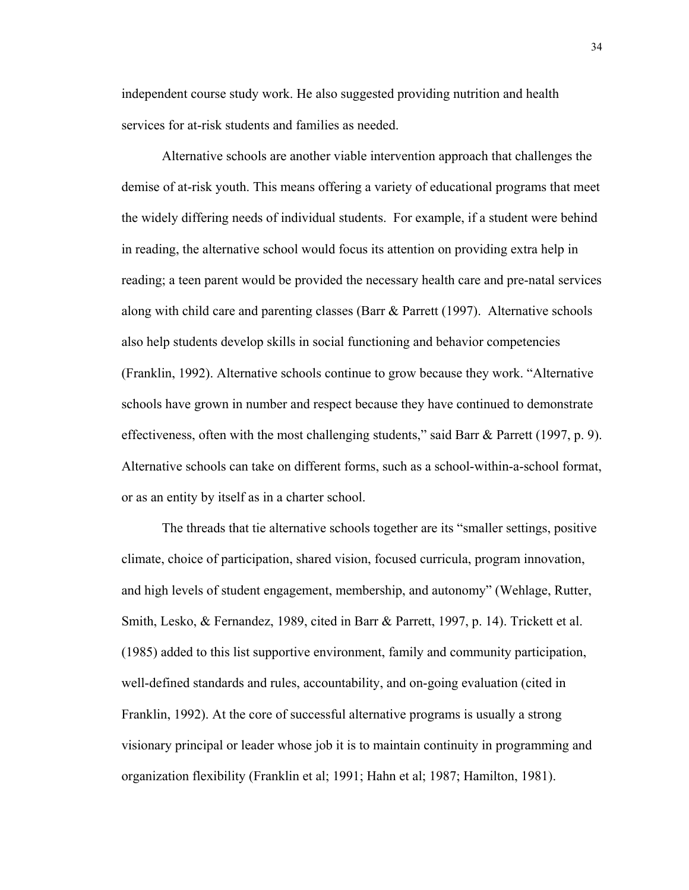independent course study work. He also suggested providing nutrition and health services for at-risk students and families as needed.

 Alternative schools are another viable intervention approach that challenges the demise of at-risk youth. This means offering a variety of educational programs that meet the widely differing needs of individual students. For example, if a student were behind in reading, the alternative school would focus its attention on providing extra help in reading; a teen parent would be provided the necessary health care and pre-natal services along with child care and parenting classes (Barr & Parrett (1997). Alternative schools also help students develop skills in social functioning and behavior competencies (Franklin, 1992). Alternative schools continue to grow because they work. "Alternative schools have grown in number and respect because they have continued to demonstrate effectiveness, often with the most challenging students," said Barr & Parrett (1997, p. 9). Alternative schools can take on different forms, such as a school-within-a-school format, or as an entity by itself as in a charter school.

 The threads that tie alternative schools together are its "smaller settings, positive climate, choice of participation, shared vision, focused curricula, program innovation, and high levels of student engagement, membership, and autonomy" (Wehlage, Rutter, Smith, Lesko, & Fernandez, 1989, cited in Barr & Parrett, 1997, p. 14). Trickett et al. (1985) added to this list supportive environment, family and community participation, well-defined standards and rules, accountability, and on-going evaluation (cited in Franklin, 1992). At the core of successful alternative programs is usually a strong visionary principal or leader whose job it is to maintain continuity in programming and organization flexibility (Franklin et al; 1991; Hahn et al; 1987; Hamilton, 1981).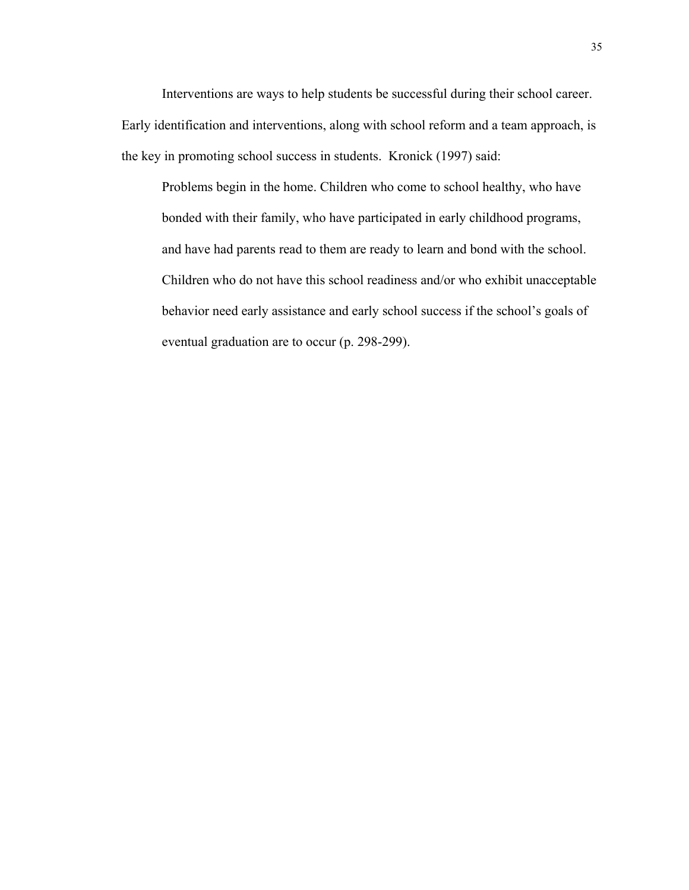Interventions are ways to help students be successful during their school career. Early identification and interventions, along with school reform and a team approach, is the key in promoting school success in students. Kronick (1997) said:

Problems begin in the home. Children who come to school healthy, who have bonded with their family, who have participated in early childhood programs, and have had parents read to them are ready to learn and bond with the school. Children who do not have this school readiness and/or who exhibit unacceptable behavior need early assistance and early school success if the school's goals of eventual graduation are to occur (p. 298-299).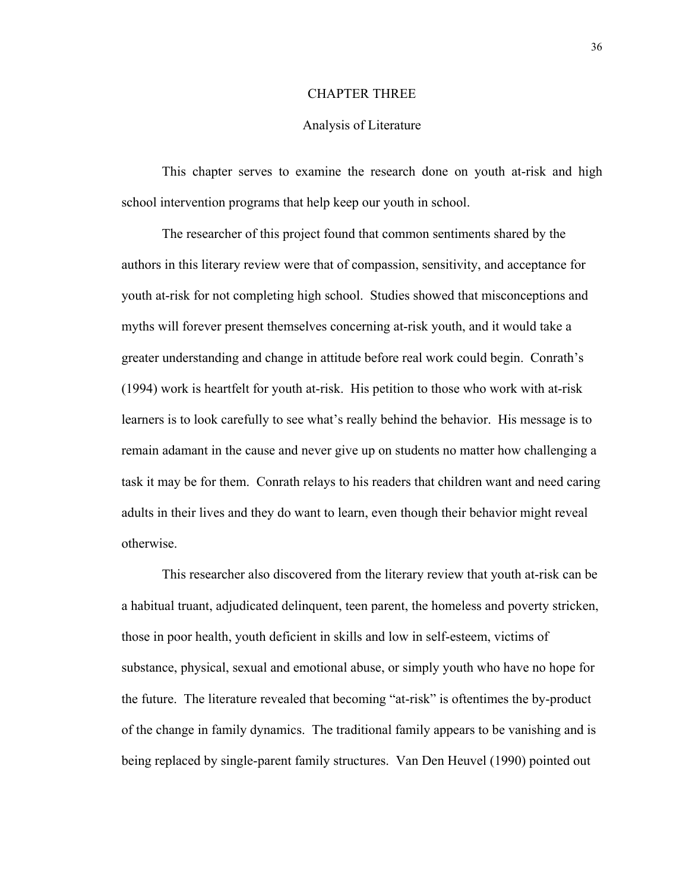# CHAPTER THREE

#### Analysis of Literature

 This chapter serves to examine the research done on youth at-risk and high school intervention programs that help keep our youth in school.

 The researcher of this project found that common sentiments shared by the authors in this literary review were that of compassion, sensitivity, and acceptance for youth at-risk for not completing high school. Studies showed that misconceptions and myths will forever present themselves concerning at-risk youth, and it would take a greater understanding and change in attitude before real work could begin. Conrath's (1994) work is heartfelt for youth at-risk. His petition to those who work with at-risk learners is to look carefully to see what's really behind the behavior. His message is to remain adamant in the cause and never give up on students no matter how challenging a task it may be for them. Conrath relays to his readers that children want and need caring adults in their lives and they do want to learn, even though their behavior might reveal otherwise.

 This researcher also discovered from the literary review that youth at-risk can be a habitual truant, adjudicated delinquent, teen parent, the homeless and poverty stricken, those in poor health, youth deficient in skills and low in self-esteem, victims of substance, physical, sexual and emotional abuse, or simply youth who have no hope for the future. The literature revealed that becoming "at-risk" is oftentimes the by-product of the change in family dynamics. The traditional family appears to be vanishing and is being replaced by single-parent family structures. Van Den Heuvel (1990) pointed out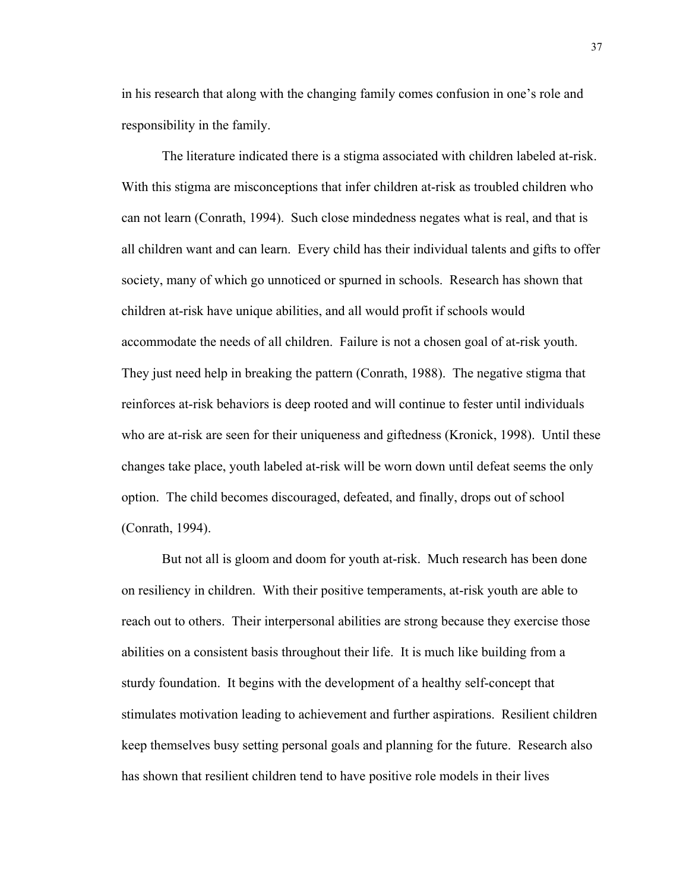in his research that along with the changing family comes confusion in one's role and responsibility in the family.

 The literature indicated there is a stigma associated with children labeled at-risk. With this stigma are misconceptions that infer children at-risk as troubled children who can not learn (Conrath, 1994). Such close mindedness negates what is real, and that is all children want and can learn. Every child has their individual talents and gifts to offer society, many of which go unnoticed or spurned in schools. Research has shown that children at-risk have unique abilities, and all would profit if schools would accommodate the needs of all children. Failure is not a chosen goal of at-risk youth. They just need help in breaking the pattern (Conrath, 1988). The negative stigma that reinforces at-risk behaviors is deep rooted and will continue to fester until individuals who are at-risk are seen for their uniqueness and giftedness (Kronick, 1998). Until these changes take place, youth labeled at-risk will be worn down until defeat seems the only option. The child becomes discouraged, defeated, and finally, drops out of school (Conrath, 1994).

 But not all is gloom and doom for youth at-risk. Much research has been done on resiliency in children. With their positive temperaments, at-risk youth are able to reach out to others. Their interpersonal abilities are strong because they exercise those abilities on a consistent basis throughout their life. It is much like building from a sturdy foundation. It begins with the development of a healthy self-concept that stimulates motivation leading to achievement and further aspirations. Resilient children keep themselves busy setting personal goals and planning for the future. Research also has shown that resilient children tend to have positive role models in their lives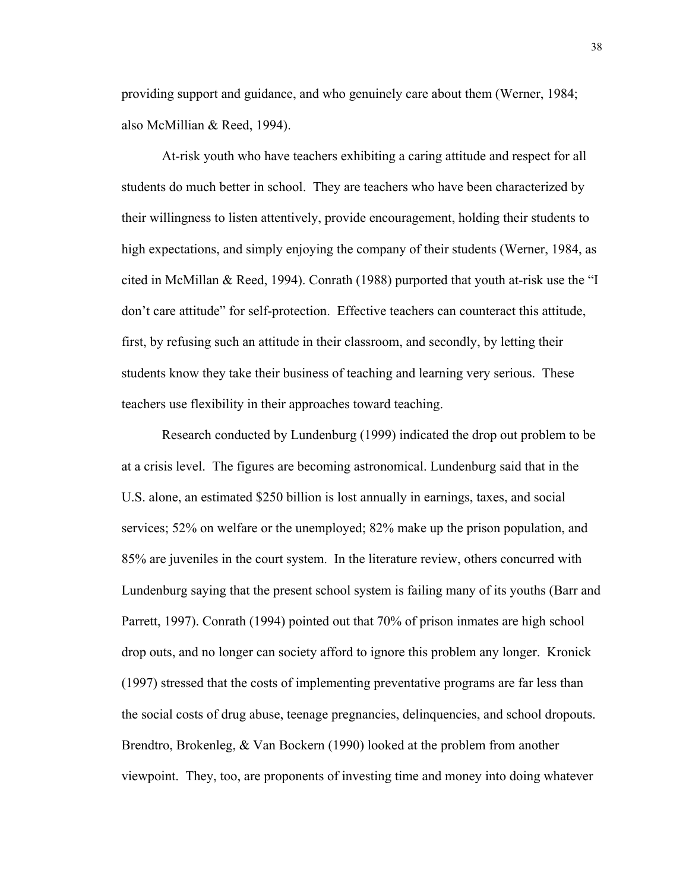providing support and guidance, and who genuinely care about them (Werner, 1984; also McMillian & Reed, 1994).

 At-risk youth who have teachers exhibiting a caring attitude and respect for all students do much better in school. They are teachers who have been characterized by their willingness to listen attentively, provide encouragement, holding their students to high expectations, and simply enjoying the company of their students (Werner, 1984, as cited in McMillan & Reed, 1994). Conrath (1988) purported that youth at-risk use the "I don't care attitude" for self-protection. Effective teachers can counteract this attitude, first, by refusing such an attitude in their classroom, and secondly, by letting their students know they take their business of teaching and learning very serious. These teachers use flexibility in their approaches toward teaching.

 Research conducted by Lundenburg (1999) indicated the drop out problem to be at a crisis level. The figures are becoming astronomical. Lundenburg said that in the U.S. alone, an estimated \$250 billion is lost annually in earnings, taxes, and social services; 52% on welfare or the unemployed; 82% make up the prison population, and 85% are juveniles in the court system. In the literature review, others concurred with Lundenburg saying that the present school system is failing many of its youths (Barr and Parrett, 1997). Conrath (1994) pointed out that 70% of prison inmates are high school drop outs, and no longer can society afford to ignore this problem any longer. Kronick (1997) stressed that the costs of implementing preventative programs are far less than the social costs of drug abuse, teenage pregnancies, delinquencies, and school dropouts. Brendtro, Brokenleg, & Van Bockern (1990) looked at the problem from another viewpoint. They, too, are proponents of investing time and money into doing whatever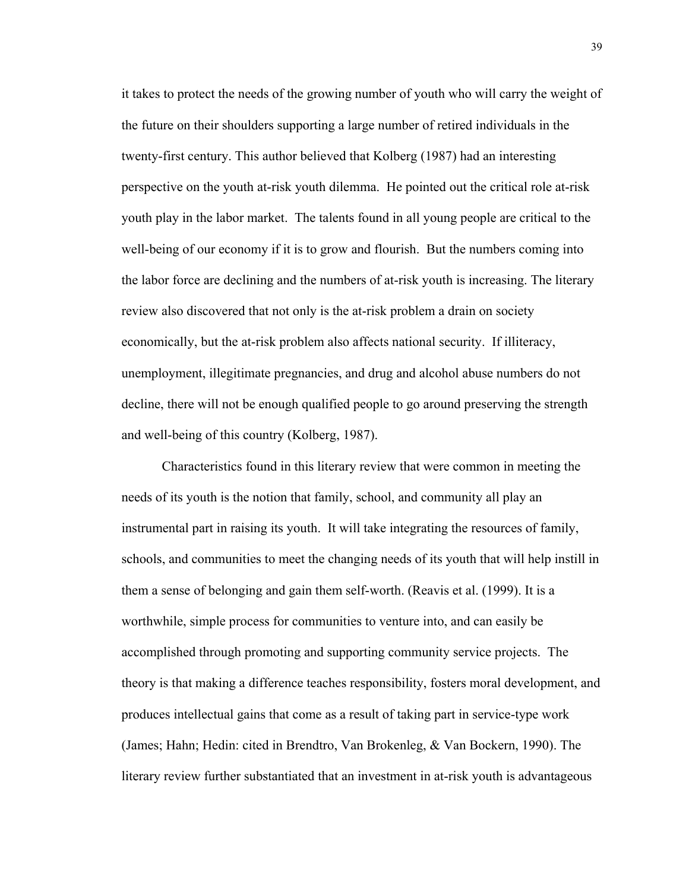it takes to protect the needs of the growing number of youth who will carry the weight of the future on their shoulders supporting a large number of retired individuals in the twenty-first century. This author believed that Kolberg (1987) had an interesting perspective on the youth at-risk youth dilemma. He pointed out the critical role at-risk youth play in the labor market. The talents found in all young people are critical to the well-being of our economy if it is to grow and flourish. But the numbers coming into the labor force are declining and the numbers of at-risk youth is increasing. The literary review also discovered that not only is the at-risk problem a drain on society economically, but the at-risk problem also affects national security. If illiteracy, unemployment, illegitimate pregnancies, and drug and alcohol abuse numbers do not decline, there will not be enough qualified people to go around preserving the strength and well-being of this country (Kolberg, 1987).

 Characteristics found in this literary review that were common in meeting the needs of its youth is the notion that family, school, and community all play an instrumental part in raising its youth. It will take integrating the resources of family, schools, and communities to meet the changing needs of its youth that will help instill in them a sense of belonging and gain them self-worth. (Reavis et al. (1999). It is a worthwhile, simple process for communities to venture into, and can easily be accomplished through promoting and supporting community service projects. The theory is that making a difference teaches responsibility, fosters moral development, and produces intellectual gains that come as a result of taking part in service-type work (James; Hahn; Hedin: cited in Brendtro, Van Brokenleg, & Van Bockern, 1990). The literary review further substantiated that an investment in at-risk youth is advantageous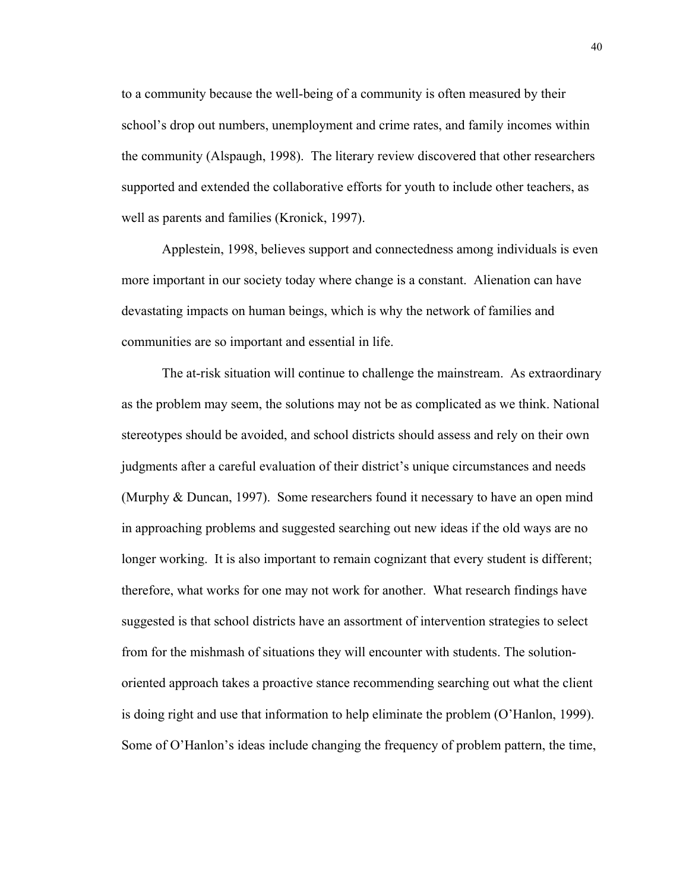to a community because the well-being of a community is often measured by their school's drop out numbers, unemployment and crime rates, and family incomes within the community (Alspaugh, 1998). The literary review discovered that other researchers supported and extended the collaborative efforts for youth to include other teachers, as well as parents and families (Kronick, 1997).

 Applestein, 1998, believes support and connectedness among individuals is even more important in our society today where change is a constant. Alienation can have devastating impacts on human beings, which is why the network of families and communities are so important and essential in life.

 The at-risk situation will continue to challenge the mainstream. As extraordinary as the problem may seem, the solutions may not be as complicated as we think. National stereotypes should be avoided, and school districts should assess and rely on their own judgments after a careful evaluation of their district's unique circumstances and needs (Murphy & Duncan, 1997). Some researchers found it necessary to have an open mind in approaching problems and suggested searching out new ideas if the old ways are no longer working. It is also important to remain cognizant that every student is different; therefore, what works for one may not work for another. What research findings have suggested is that school districts have an assortment of intervention strategies to select from for the mishmash of situations they will encounter with students. The solutionoriented approach takes a proactive stance recommending searching out what the client is doing right and use that information to help eliminate the problem (O'Hanlon, 1999). Some of O'Hanlon's ideas include changing the frequency of problem pattern, the time,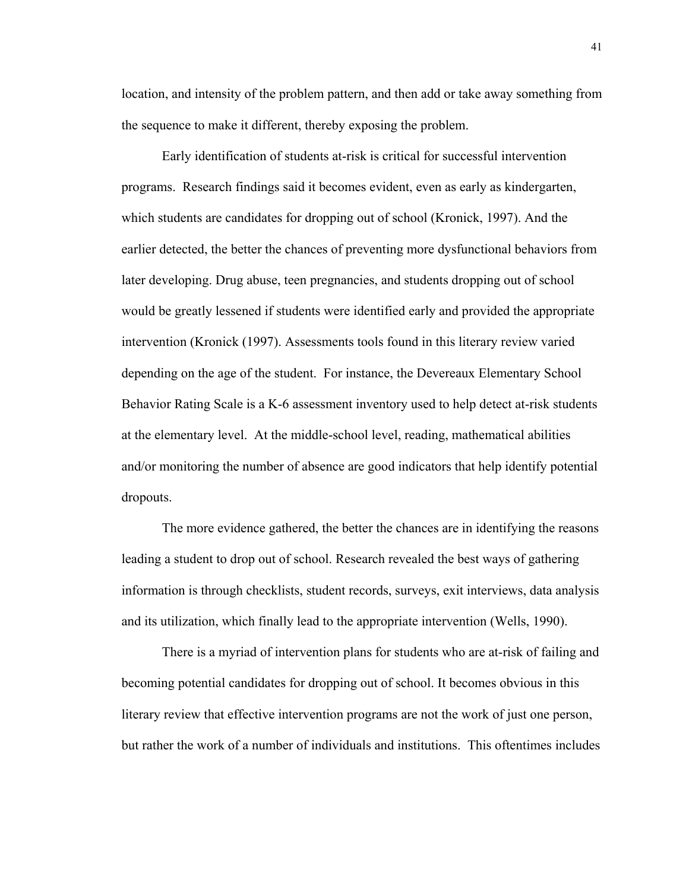location, and intensity of the problem pattern, and then add or take away something from the sequence to make it different, thereby exposing the problem.

 Early identification of students at-risk is critical for successful intervention programs. Research findings said it becomes evident, even as early as kindergarten, which students are candidates for dropping out of school (Kronick, 1997). And the earlier detected, the better the chances of preventing more dysfunctional behaviors from later developing. Drug abuse, teen pregnancies, and students dropping out of school would be greatly lessened if students were identified early and provided the appropriate intervention (Kronick (1997). Assessments tools found in this literary review varied depending on the age of the student. For instance, the Devereaux Elementary School Behavior Rating Scale is a K-6 assessment inventory used to help detect at-risk students at the elementary level. At the middle-school level, reading, mathematical abilities and/or monitoring the number of absence are good indicators that help identify potential dropouts.

The more evidence gathered, the better the chances are in identifying the reasons leading a student to drop out of school. Research revealed the best ways of gathering information is through checklists, student records, surveys, exit interviews, data analysis and its utilization, which finally lead to the appropriate intervention (Wells, 1990).

There is a myriad of intervention plans for students who are at-risk of failing and becoming potential candidates for dropping out of school. It becomes obvious in this literary review that effective intervention programs are not the work of just one person, but rather the work of a number of individuals and institutions. This oftentimes includes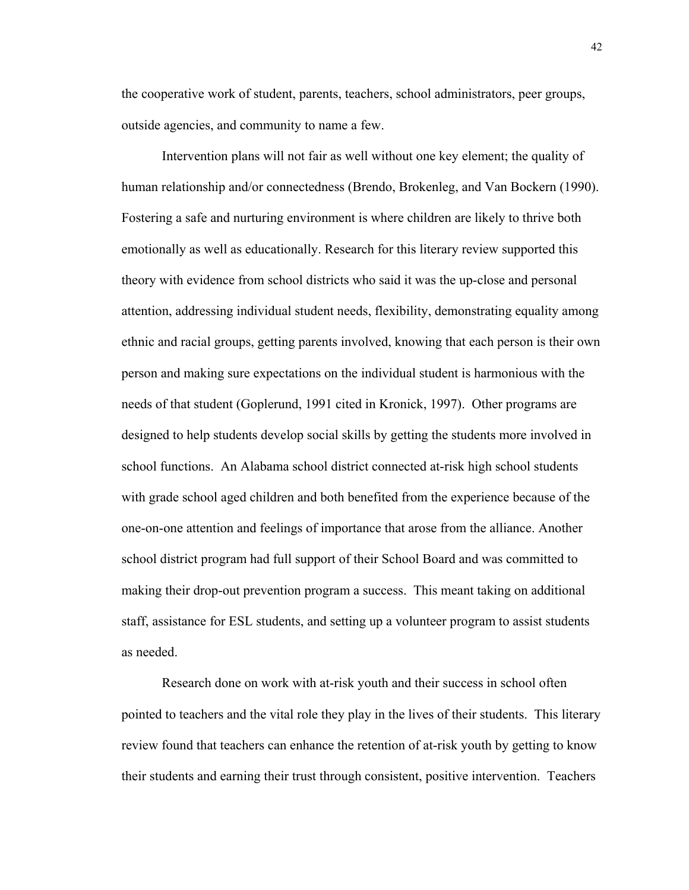the cooperative work of student, parents, teachers, school administrators, peer groups, outside agencies, and community to name a few.

Intervention plans will not fair as well without one key element; the quality of human relationship and/or connectedness (Brendo, Brokenleg, and Van Bockern (1990). Fostering a safe and nurturing environment is where children are likely to thrive both emotionally as well as educationally. Research for this literary review supported this theory with evidence from school districts who said it was the up-close and personal attention, addressing individual student needs, flexibility, demonstrating equality among ethnic and racial groups, getting parents involved, knowing that each person is their own person and making sure expectations on the individual student is harmonious with the needs of that student (Goplerund, 1991 cited in Kronick, 1997). Other programs are designed to help students develop social skills by getting the students more involved in school functions. An Alabama school district connected at-risk high school students with grade school aged children and both benefited from the experience because of the one-on-one attention and feelings of importance that arose from the alliance. Another school district program had full support of their School Board and was committed to making their drop-out prevention program a success. This meant taking on additional staff, assistance for ESL students, and setting up a volunteer program to assist students as needed.

Research done on work with at-risk youth and their success in school often pointed to teachers and the vital role they play in the lives of their students. This literary review found that teachers can enhance the retention of at-risk youth by getting to know their students and earning their trust through consistent, positive intervention. Teachers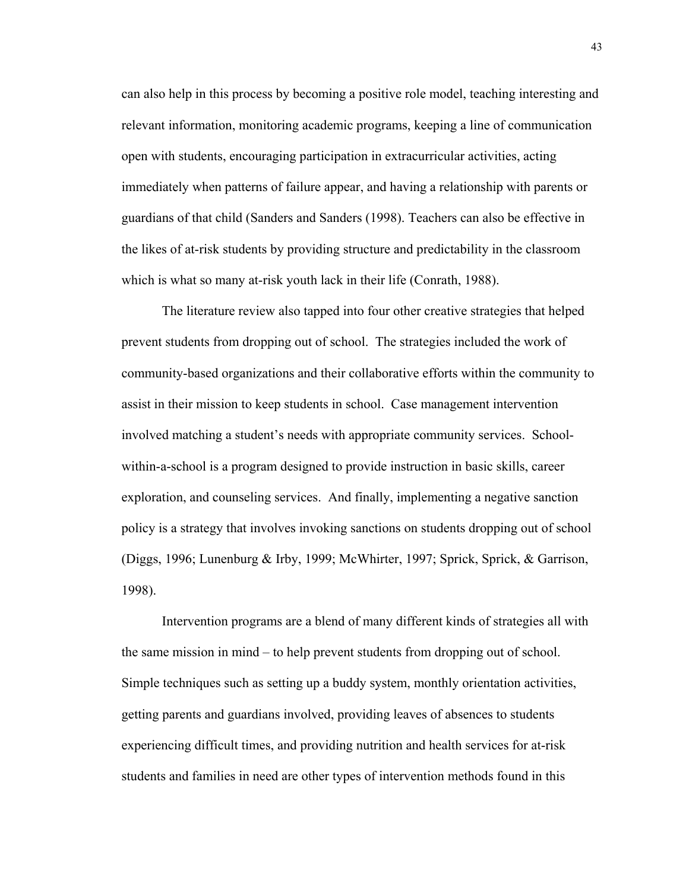can also help in this process by becoming a positive role model, teaching interesting and relevant information, monitoring academic programs, keeping a line of communication open with students, encouraging participation in extracurricular activities, acting immediately when patterns of failure appear, and having a relationship with parents or guardians of that child (Sanders and Sanders (1998). Teachers can also be effective in the likes of at-risk students by providing structure and predictability in the classroom which is what so many at-risk youth lack in their life (Conrath, 1988).

The literature review also tapped into four other creative strategies that helped prevent students from dropping out of school. The strategies included the work of community-based organizations and their collaborative efforts within the community to assist in their mission to keep students in school. Case management intervention involved matching a student's needs with appropriate community services. Schoolwithin-a-school is a program designed to provide instruction in basic skills, career exploration, and counseling services. And finally, implementing a negative sanction policy is a strategy that involves invoking sanctions on students dropping out of school (Diggs, 1996; Lunenburg & Irby, 1999; McWhirter, 1997; Sprick, Sprick, & Garrison, 1998).

Intervention programs are a blend of many different kinds of strategies all with the same mission in mind – to help prevent students from dropping out of school. Simple techniques such as setting up a buddy system, monthly orientation activities, getting parents and guardians involved, providing leaves of absences to students experiencing difficult times, and providing nutrition and health services for at-risk students and families in need are other types of intervention methods found in this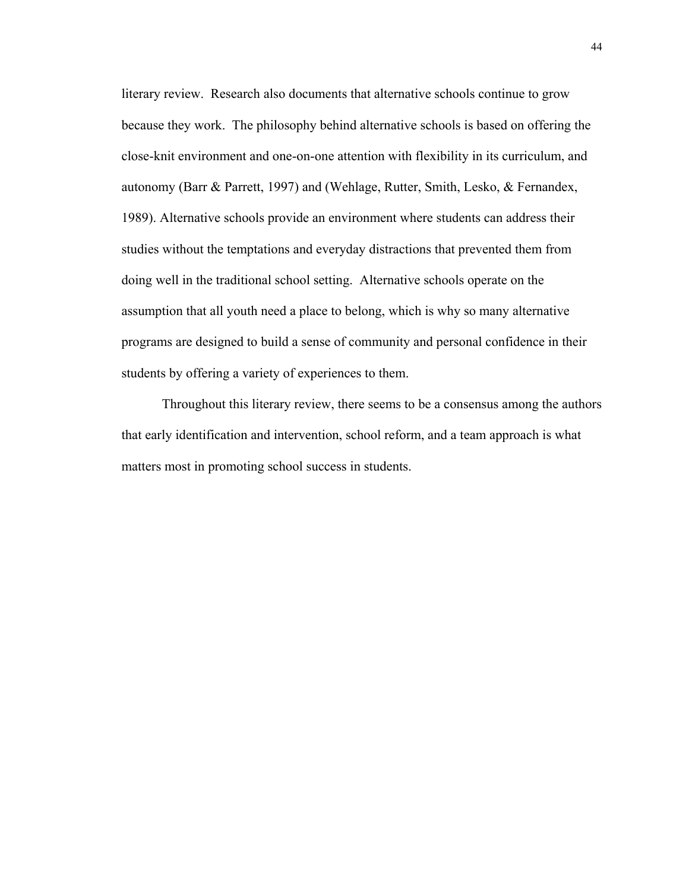literary review. Research also documents that alternative schools continue to grow because they work. The philosophy behind alternative schools is based on offering the close-knit environment and one-on-one attention with flexibility in its curriculum, and autonomy (Barr & Parrett, 1997) and (Wehlage, Rutter, Smith, Lesko, & Fernandex, 1989). Alternative schools provide an environment where students can address their studies without the temptations and everyday distractions that prevented them from doing well in the traditional school setting. Alternative schools operate on the assumption that all youth need a place to belong, which is why so many alternative programs are designed to build a sense of community and personal confidence in their students by offering a variety of experiences to them.

Throughout this literary review, there seems to be a consensus among the authors that early identification and intervention, school reform, and a team approach is what matters most in promoting school success in students.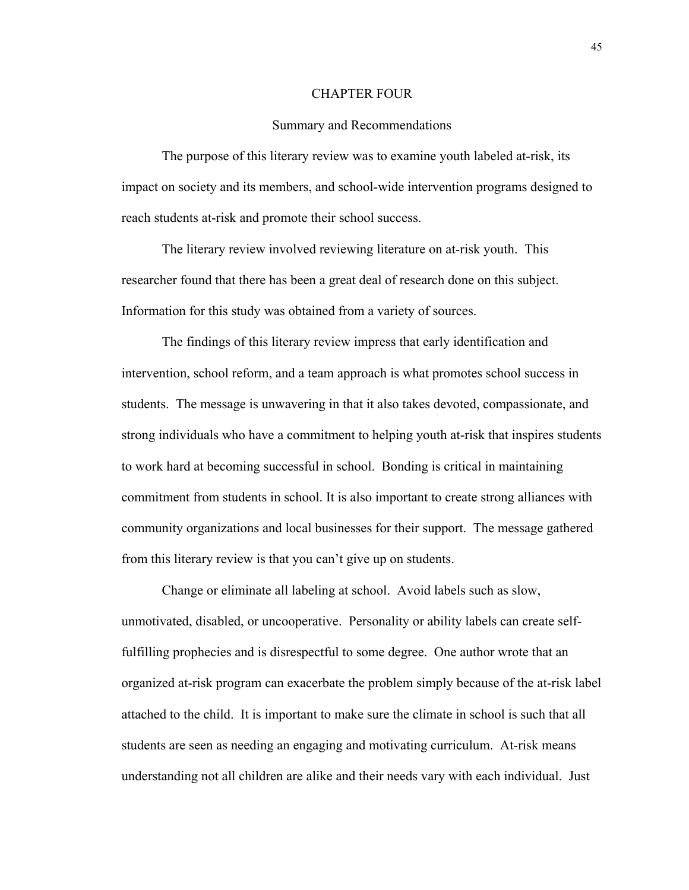#### CHAPTER FOUR

#### Summary and Recommendations

 The purpose of this literary review was to examine youth labeled at-risk, its impact on society and its members, and school-wide intervention programs designed to reach students at-risk and promote their school success.

 The literary review involved reviewing literature on at-risk youth. This researcher found that there has been a great deal of research done on this subject. Information for this study was obtained from a variety of sources.

 The findings of this literary review impress that early identification and intervention, school reform, and a team approach is what promotes school success in students. The message is unwavering in that it also takes devoted, compassionate, and strong individuals who have a commitment to helping youth at-risk that inspires students to work hard at becoming successful in school. Bonding is critical in maintaining commitment from students in school. It is also important to create strong alliances with community organizations and local businesses for their support. The message gathered from this literary review is that you can't give up on students.

 Change or eliminate all labeling at school. Avoid labels such as slow, unmotivated, disabled, or uncooperative. Personality or ability labels can create selffulfilling prophecies and is disrespectful to some degree. One author wrote that an organized at-risk program can exacerbate the problem simply because of the at-risk label attached to the child. It is important to make sure the climate in school is such that all students are seen as needing an engaging and motivating curriculum. At-risk means understanding not all children are alike and their needs vary with each individual. Just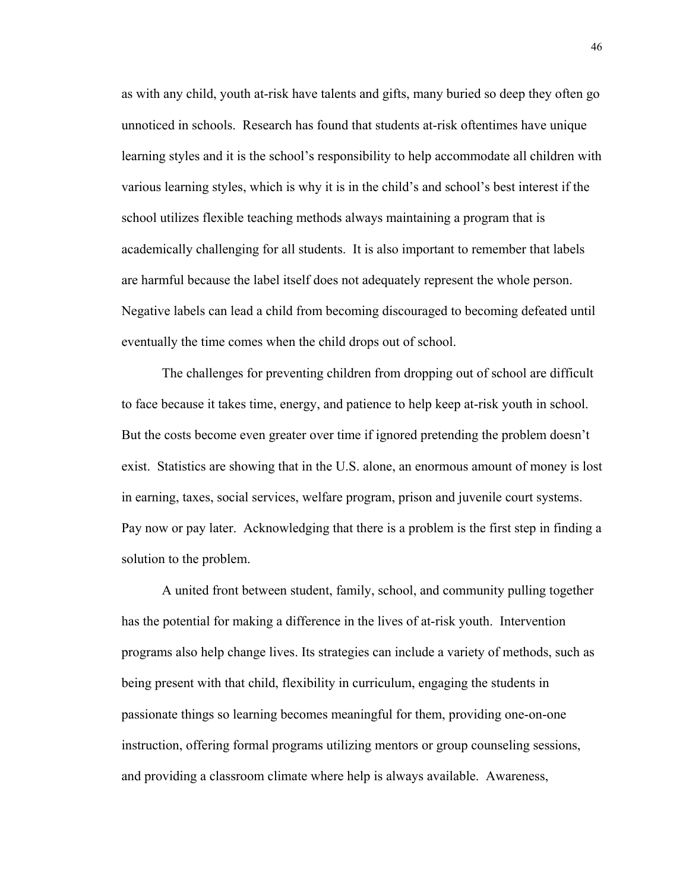as with any child, youth at-risk have talents and gifts, many buried so deep they often go unnoticed in schools. Research has found that students at-risk oftentimes have unique learning styles and it is the school's responsibility to help accommodate all children with various learning styles, which is why it is in the child's and school's best interest if the school utilizes flexible teaching methods always maintaining a program that is academically challenging for all students. It is also important to remember that labels are harmful because the label itself does not adequately represent the whole person. Negative labels can lead a child from becoming discouraged to becoming defeated until eventually the time comes when the child drops out of school.

 The challenges for preventing children from dropping out of school are difficult to face because it takes time, energy, and patience to help keep at-risk youth in school. But the costs become even greater over time if ignored pretending the problem doesn't exist. Statistics are showing that in the U.S. alone, an enormous amount of money is lost in earning, taxes, social services, welfare program, prison and juvenile court systems. Pay now or pay later. Acknowledging that there is a problem is the first step in finding a solution to the problem.

 A united front between student, family, school, and community pulling together has the potential for making a difference in the lives of at-risk youth. Intervention programs also help change lives. Its strategies can include a variety of methods, such as being present with that child, flexibility in curriculum, engaging the students in passionate things so learning becomes meaningful for them, providing one-on-one instruction, offering formal programs utilizing mentors or group counseling sessions, and providing a classroom climate where help is always available. Awareness,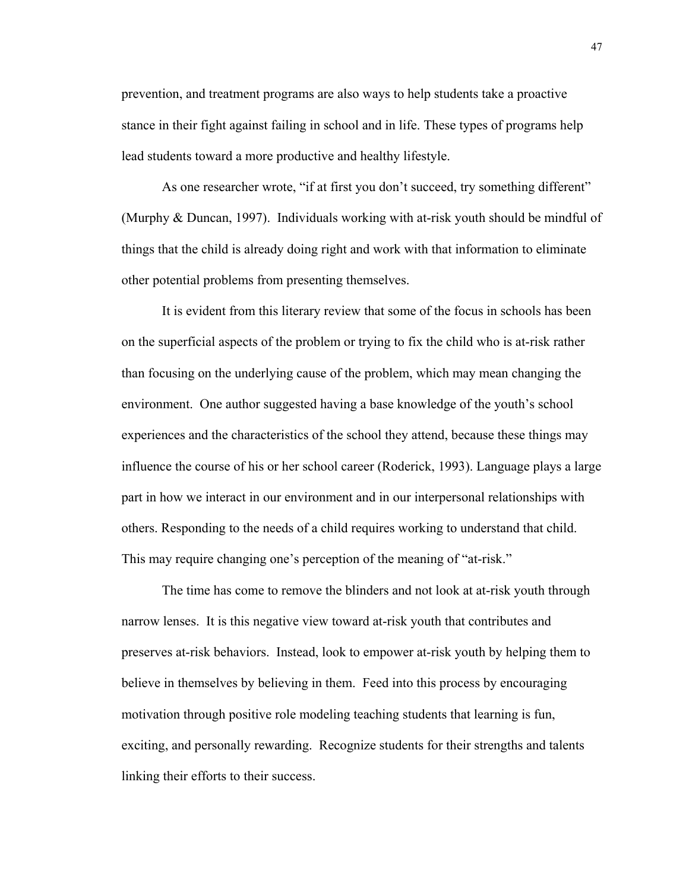prevention, and treatment programs are also ways to help students take a proactive stance in their fight against failing in school and in life. These types of programs help lead students toward a more productive and healthy lifestyle.

As one researcher wrote, "if at first you don't succeed, try something different" (Murphy & Duncan, 1997). Individuals working with at-risk youth should be mindful of things that the child is already doing right and work with that information to eliminate other potential problems from presenting themselves.

 It is evident from this literary review that some of the focus in schools has been on the superficial aspects of the problem or trying to fix the child who is at-risk rather than focusing on the underlying cause of the problem, which may mean changing the environment. One author suggested having a base knowledge of the youth's school experiences and the characteristics of the school they attend, because these things may influence the course of his or her school career (Roderick, 1993). Language plays a large part in how we interact in our environment and in our interpersonal relationships with others. Responding to the needs of a child requires working to understand that child. This may require changing one's perception of the meaning of "at-risk."

The time has come to remove the blinders and not look at at-risk youth through narrow lenses. It is this negative view toward at-risk youth that contributes and preserves at-risk behaviors. Instead, look to empower at-risk youth by helping them to believe in themselves by believing in them. Feed into this process by encouraging motivation through positive role modeling teaching students that learning is fun, exciting, and personally rewarding. Recognize students for their strengths and talents linking their efforts to their success.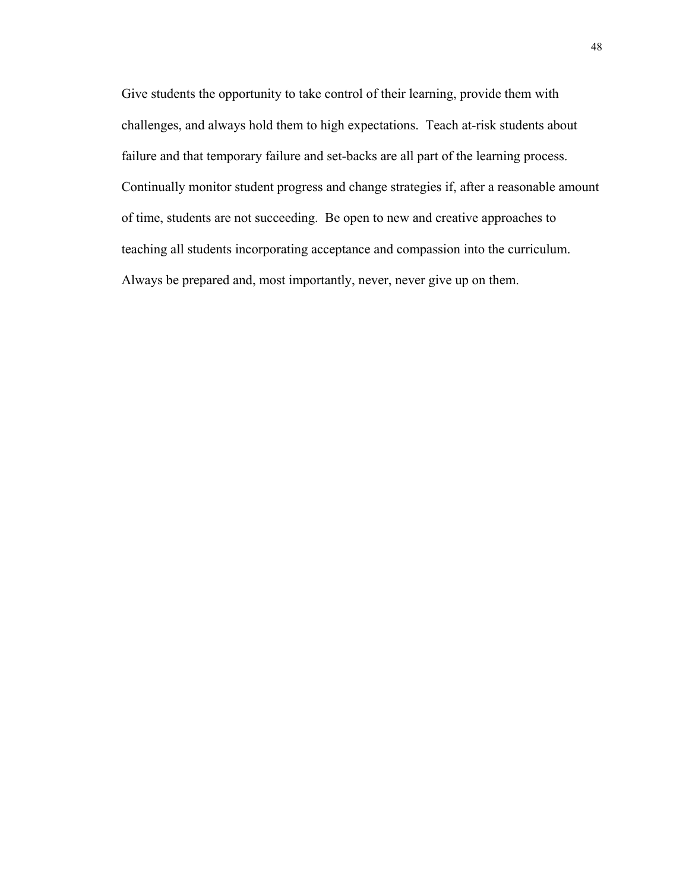Give students the opportunity to take control of their learning, provide them with challenges, and always hold them to high expectations. Teach at-risk students about failure and that temporary failure and set-backs are all part of the learning process. Continually monitor student progress and change strategies if, after a reasonable amount of time, students are not succeeding. Be open to new and creative approaches to teaching all students incorporating acceptance and compassion into the curriculum. Always be prepared and, most importantly, never, never give up on them.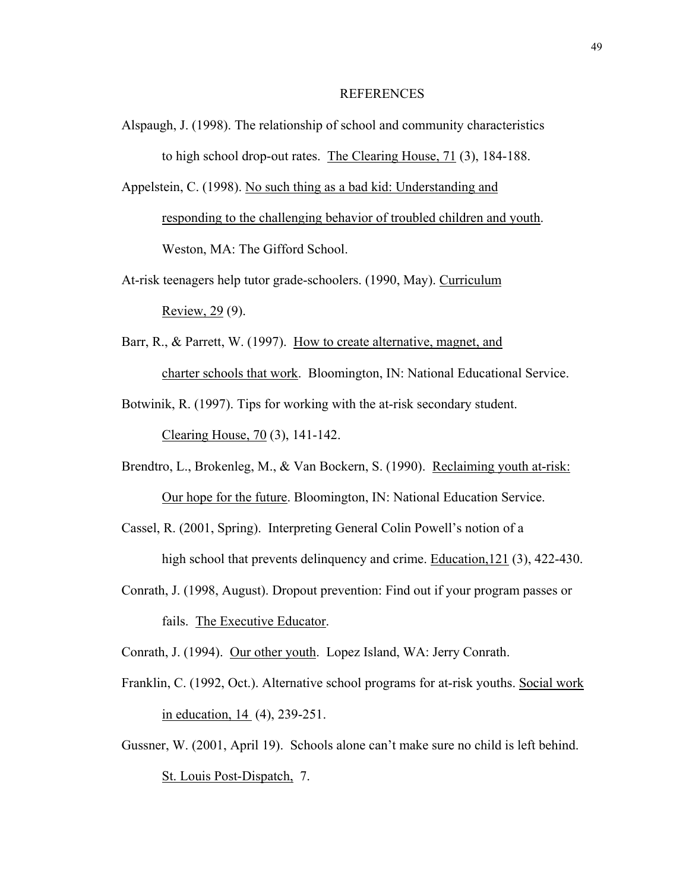## **REFERENCES**

Alspaugh, J. (1998). The relationship of school and community characteristics to high school drop-out rates. The Clearing House, 71 (3), 184-188.

Appelstein, C. (1998). No such thing as a bad kid: Understanding and responding to the challenging behavior of troubled children and youth. Weston, MA: The Gifford School.

- At-risk teenagers help tutor grade-schoolers. (1990, May). Curriculum Review, 29 (9).
- Barr, R., & Parrett, W. (1997). How to create alternative, magnet, and charter schools that work. Bloomington, IN: National Educational Service.
- Botwinik, R. (1997). Tips for working with the at-risk secondary student. Clearing House, 70 (3), 141-142.
- Brendtro, L., Brokenleg, M., & Van Bockern, S. (1990). Reclaiming youth at-risk: Our hope for the future. Bloomington, IN: National Education Service.
- Cassel, R. (2001, Spring). Interpreting General Colin Powell's notion of a high school that prevents delinquency and crime. Education, 121 (3), 422-430.
- Conrath, J. (1998, August). Dropout prevention: Find out if your program passes or fails. The Executive Educator.

Conrath, J. (1994). Our other youth. Lopez Island, WA: Jerry Conrath.

- Franklin, C. (1992, Oct.). Alternative school programs for at-risk youths. Social work in education, 14 (4), 239-251.
- Gussner, W. (2001, April 19). Schools alone can't make sure no child is left behind. St. Louis Post-Dispatch, 7.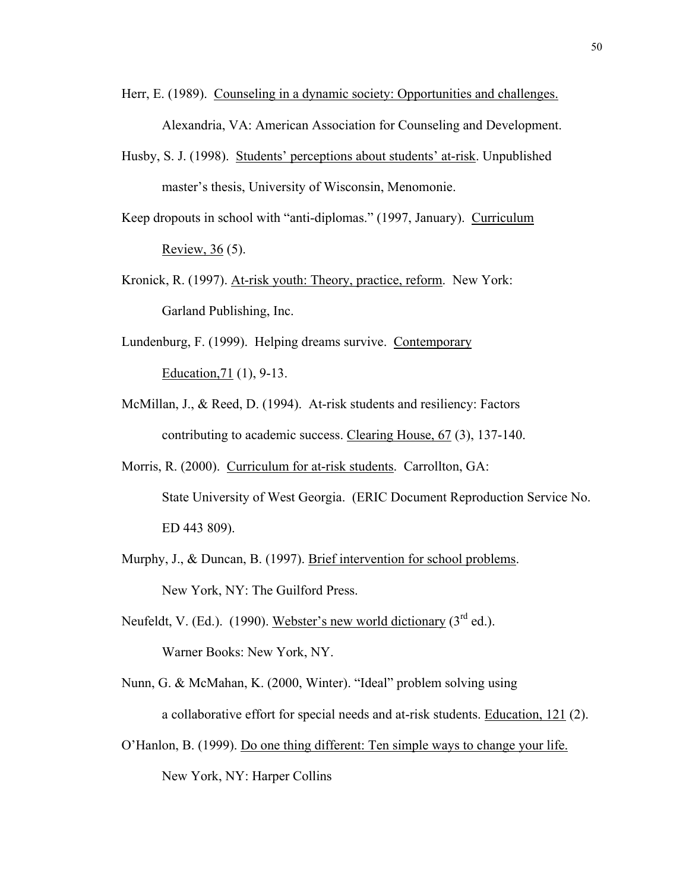- Herr, E. (1989). Counseling in a dynamic society: Opportunities and challenges. Alexandria, VA: American Association for Counseling and Development.
- Husby, S. J. (1998). Students' perceptions about students' at-risk. Unpublished master's thesis, University of Wisconsin, Menomonie.
- Keep dropouts in school with "anti-diplomas." (1997, January). Curriculum Review, 36 (5).
- Kronick, R. (1997). At-risk youth: Theory, practice, reform. New York: Garland Publishing, Inc.
- Lundenburg, F. (1999). Helping dreams survive. Contemporary Education,71 (1), 9-13.
- McMillan, J., & Reed, D. (1994). At-risk students and resiliency: Factors contributing to academic success. Clearing House, 67 (3), 137-140.
- Morris, R. (2000). Curriculum for at-risk students. Carrollton, GA: State University of West Georgia. (ERIC Document Reproduction Service No. ED 443 809).
- Murphy, J., & Duncan, B. (1997). Brief intervention for school problems. New York, NY: The Guilford Press.
- Neufeldt, V. (Ed.). (1990). Webster's new world dictionary  $(3<sup>rd</sup>$  ed.). Warner Books: New York, NY.
- Nunn, G. & McMahan, K. (2000, Winter). "Ideal" problem solving using a collaborative effort for special needs and at-risk students. Education, 121 (2).
- O'Hanlon, B. (1999). Do one thing different: Ten simple ways to change your life. New York, NY: Harper Collins